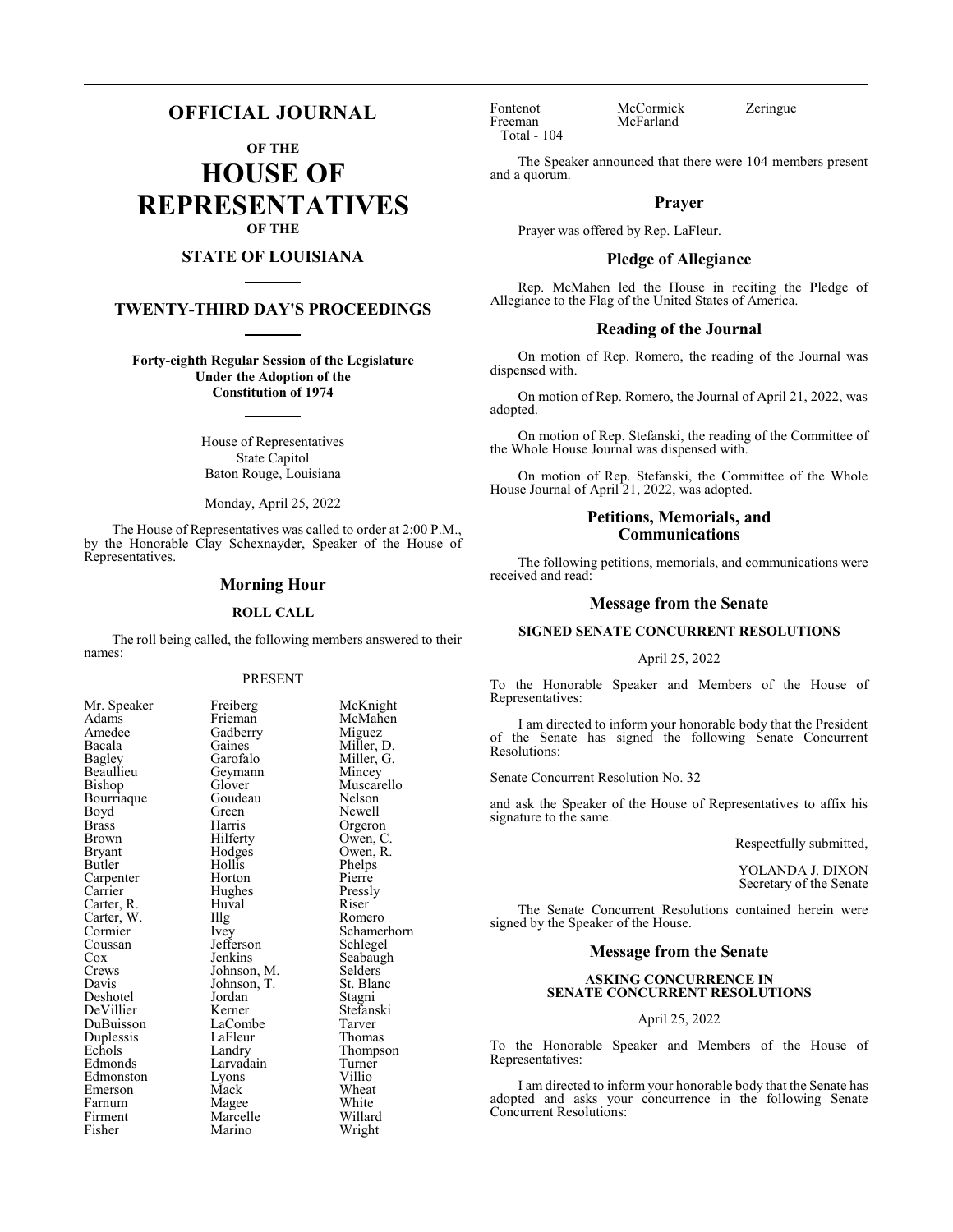# **OFFICIAL JOURNAL**

**OF THE**

**HOUSE OF REPRESENTATIVES OF THE**

# **STATE OF LOUISIANA**

# **TWENTY-THIRD DAY'S PROCEEDINGS**

**Forty-eighth Regular Session of the Legislature Under the Adoption of the Constitution of 1974**

> House of Representatives State Capitol Baton Rouge, Louisiana

Monday, April 25, 2022

The House of Representatives was called to order at 2:00 P.M., by the Honorable Clay Schexnayder, Speaker of the House of Representatives.

# **Morning Hour**

#### **ROLL CALL**

The roll being called, the following members answered to their names:

#### PRESENT

Gadberry<br>Gaines

Geymann<br>Glover

Goudeau<br>Green

Jefferson<br>Jenkins

Jordan<br>Kerner

LaFleur<br>Landry

Lyons<br>Mack

Marino

| Mr. Speaker              |
|--------------------------|
| Adams                    |
| Amedee                   |
| Bacala                   |
| Bagley                   |
| Beaullieu                |
| Bishop                   |
| Bourriaque               |
| Boyd                     |
| <b>Brass</b>             |
| Brown                    |
| <b>Bryant</b>            |
| Butler                   |
| Carpenter                |
| Carrier                  |
|                          |
| Carter, R.<br>Carter, W. |
| Cormier                  |
| Coussan<br>Cox           |
|                          |
| Crews                    |
| Davis                    |
| Deshotel                 |
| DeVillier                |
| DuBuisson                |
| Duplessis<br>Echols      |
|                          |
| Edmonds                  |
| Edmonston                |
| Emerson                  |
| Farnum                   |
| Firment                  |
| Fisher                   |

Freiberg McKnight<br>Frieman McMahen McMahen<br>Miguez Gaines Miller, D.<br>Garofalo Miller, G. Miller, G.<br>Mincey Muscarello<br>Nelson Green Newell<br>Harris Orgeror Harris Orgeron<br>Hilferty Owen, C Hilferty Owen, C.<br>Hodges Owen, R. Owen, R.<br>Phelps Hollis Phelps<br>
Horton Pierre Horton Pierre<br>
Hughes Pressly Hughes Pressl<br>Huval Riser Carter, R. Huval Riser Illg Romero<br>Ivey Schamer Schamerhorn<br>Schlegel Seabaugh<br>Selders Johnson, M. Selders<br>Johnson, T. St. Blanc Johnson, T. St. Blanch<br>Jordan Stagni Stefanski<br>Tarver LaCombe Tarver<br>
LaFleur Thomas Thompson<br>Turner Larvadain Turner<br>Lyons Villio Wheat<br>White Magee White<br>Marcelle Willard Marcelle Willard<br>
Marino Wright

Fontenot McCormick Zeringue<br>Freeman McFarland Total - 104

McFarland

The Speaker announced that there were 104 members present and a quorum.

# **Prayer**

Prayer was offered by Rep. LaFleur.

# **Pledge of Allegiance**

Rep. McMahen led the House in reciting the Pledge of Allegiance to the Flag of the United States of America.

# **Reading of the Journal**

On motion of Rep. Romero, the reading of the Journal was dispensed with.

On motion of Rep. Romero, the Journal of April 21, 2022, was adopted.

On motion of Rep. Stefanski, the reading of the Committee of the Whole House Journal was dispensed with.

On motion of Rep. Stefanski, the Committee of the Whole House Journal of April 21, 2022, was adopted.

# **Petitions, Memorials, and Communications**

The following petitions, memorials, and communications were received and read:

# **Message from the Senate**

# **SIGNED SENATE CONCURRENT RESOLUTIONS**

### April 25, 2022

To the Honorable Speaker and Members of the House of Representatives:

I am directed to inform your honorable body that the President of the Senate has signed the following Senate Concurrent Resolutions:

Senate Concurrent Resolution No. 32

and ask the Speaker of the House of Representatives to affix his signature to the same.

Respectfully submitted,

YOLANDA J. DIXON Secretary of the Senate

The Senate Concurrent Resolutions contained herein were signed by the Speaker of the House.

# **Message from the Senate**

# **ASKING CONCURRENCE IN SENATE CONCURRENT RESOLUTIONS**

# April 25, 2022

To the Honorable Speaker and Members of the House of Representatives:

I am directed to inform your honorable body that the Senate has adopted and asks your concurrence in the following Senate Concurrent Resolutions: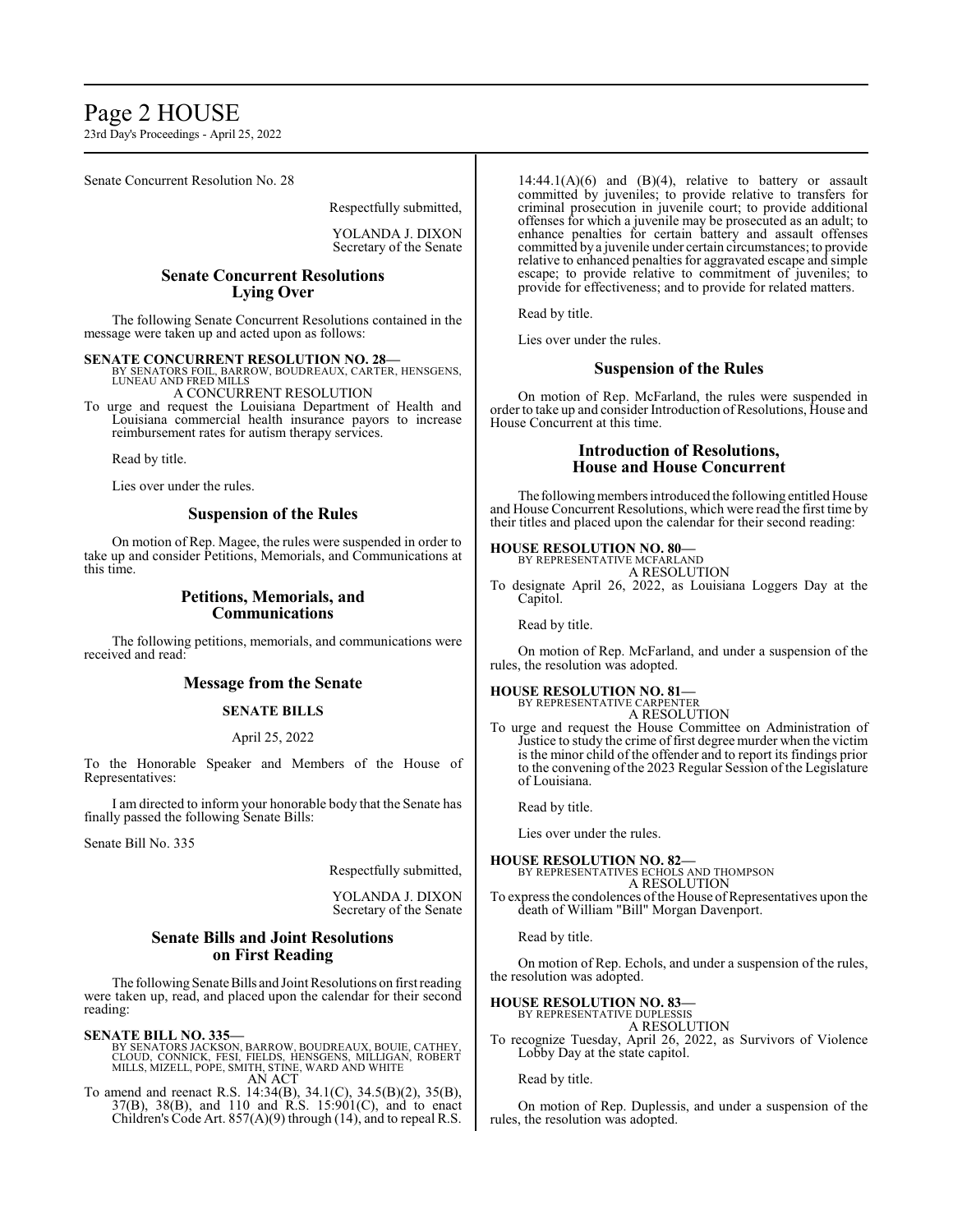# Page 2 HOUSE

23rd Day's Proceedings - April 25, 2022

Senate Concurrent Resolution No. 28

Respectfully submitted,

YOLANDA J. DIXON Secretary of the Senate

# **Senate Concurrent Resolutions Lying Over**

The following Senate Concurrent Resolutions contained in the message were taken up and acted upon as follows:

**SENATE CONCURRENT RESOLUTION NO. 28—**<br>BY SENATORS FOIL, BARROW, BOUDREAUX, CARTER, HENSGENS,<br>LUNEAU AND FRED MILLS

A CONCURRENT RESOLUTION

To urge and request the Louisiana Department of Health and Louisiana commercial health insurance payors to increase reimbursement rates for autism therapy services.

Read by title.

Lies over under the rules.

# **Suspension of the Rules**

On motion of Rep. Magee, the rules were suspended in order to take up and consider Petitions, Memorials, and Communications at this time.

# **Petitions, Memorials, and Communications**

The following petitions, memorials, and communications were received and read:

# **Message from the Senate**

# **SENATE BILLS**

#### April 25, 2022

To the Honorable Speaker and Members of the House of Representatives:

I am directed to inform your honorable body that the Senate has finally passed the following Senate Bills:

Senate Bill No. 335

Respectfully submitted,

YOLANDA J. DIXON Secretary of the Senate

# **Senate Bills and Joint Resolutions on First Reading**

The following Senate Bills and Joint Resolutions on first reading were taken up, read, and placed upon the calendar for their second reading:

#### **SENATE BILL NO. 335—**

BY SENATORS JACKSON, BARROW, BOUDREAUX, BOUIE, CATHEY,<br>CLOUD, CONNICK, FESI, FIELDS, HENSGENS, MILLIGAN, ROBERT<br>MILLS, MIZELL, POPE, SMITH, STINE, WARD AND WHITE AN ACT

To amend and reenact R.S. 14:34(B), 34.1(C), 34.5(B)(2), 35(B), 37(B), 38(B), and 110 and R.S. 15:901(C), and to enact Children's Code Art. 857(A)(9) through (14), and to repeal R.S.

 $14:44.1(A)(6)$  and  $(B)(4)$ , relative to battery or assault committed by juveniles; to provide relative to transfers for criminal prosecution in juvenile court; to provide additional offenses for which a juvenile may be prosecuted as an adult; to enhance penalties for certain battery and assault offenses committed by a juvenile under certain circumstances; to provide relative to enhanced penalties for aggravated escape and simple escape; to provide relative to commitment of juveniles; to provide for effectiveness; and to provide for related matters.

Read by title.

Lies over under the rules.

# **Suspension of the Rules**

On motion of Rep. McFarland, the rules were suspended in order to take up and consider Introduction of Resolutions, House and House Concurrent at this time.

# **Introduction of Resolutions, House and House Concurrent**

The following members introduced the following entitled House and House Concurrent Resolutions, which were read the first time by their titles and placed upon the calendar for their second reading:

# **HOUSE RESOLUTION NO. 80—** BY REPRESENTATIVE MCFARLAND

A RESOLUTION

To designate April 26, 2022, as Louisiana Loggers Day at the Capitol.

Read by title.

On motion of Rep. McFarland, and under a suspension of the rules, the resolution was adopted.

#### **HOUSE RESOLUTION NO. 81—** BY REPRESENTATIVE CARPENTER

A RESOLUTION

To urge and request the House Committee on Administration of Justice to study the crime of first degree murder when the victim is the minor child of the offender and to report its findings prior to the convening of the 2023 Regular Session of the Legislature of Louisiana.

Read by title.

Lies over under the rules.

# **HOUSE RESOLUTION NO. 82—**

BY REPRESENTATIVES ECHOLS AND THOMPSON A RESOLUTION

To express the condolences of the House of Representatives upon the death of William "Bill" Morgan Davenport.

Read by title.

On motion of Rep. Echols, and under a suspension of the rules, the resolution was adopted.

# **HOUSE RESOLUTION NO. 83—** BY REPRESENTATIVE DUPLESSIS

A RESOLUTION

To recognize Tuesday, April 26, 2022, as Survivors of Violence Lobby Day at the state capitol.

Read by title.

On motion of Rep. Duplessis, and under a suspension of the rules, the resolution was adopted.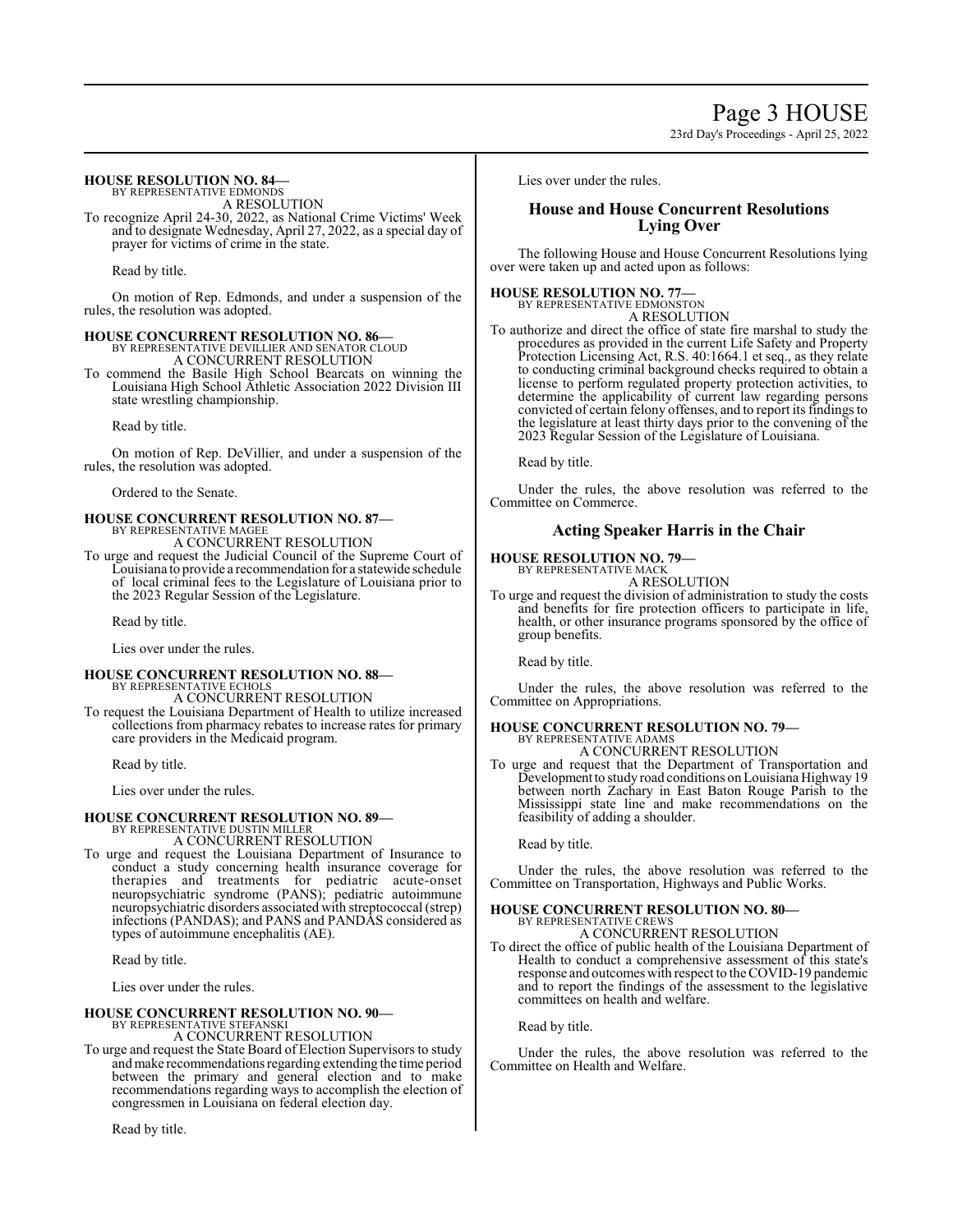Page 3 HOUSE 23rd Day's Proceedings - April 25, 2022

# **HOUSE RESOLUTION NO. 84—**

BY REPRESENTATIVE EDMONDS A RESOLUTION

To recognize April 24-30, 2022, as National Crime Victims' Week and to designate Wednesday, April 27, 2022, as a special day of prayer for victims of crime in the state.

Read by title.

On motion of Rep. Edmonds, and under a suspension of the rules, the resolution was adopted.

# **HOUSE CONCURRENT RESOLUTION NO. 86—**

BY REPRESENTATIVE DEVILLIER AND SENATOR CLOUD A CONCURRENT RESOLUTION

To commend the Basile High School Bearcats on winning the Louisiana High School Athletic Association 2022 Division III state wrestling championship.

Read by title.

On motion of Rep. DeVillier, and under a suspension of the rules, the resolution was adopted.

Ordered to the Senate.

#### **HOUSE CONCURRENT RESOLUTION NO. 87—** BY REPRESENTATIVE MAGEE

A CONCURRENT RESOLUTION

To urge and request the Judicial Council of the Supreme Court of Louisiana to provide a recommendation for a statewide schedule of local criminal fees to the Legislature of Louisiana prior to the 2023 Regular Session of the Legislature.

Read by title.

Lies over under the rules.

# **HOUSE CONCURRENT RESOLUTION NO. 88—** BY REPRESENTATIVE ECHOLS

A CONCURRENT RESOLUTION

To request the Louisiana Department of Health to utilize increased collections from pharmacy rebates to increase rates for primary care providers in the Medicaid program.

Read by title.

Lies over under the rules.

#### **HOUSE CONCURRENT RESOLUTION NO. 89—** BY REPRESENTATIVE DUSTIN MILLER

A CONCURRENT RESOLUTION

To urge and request the Louisiana Department of Insurance to conduct a study concerning health insurance coverage for therapies and treatments for pediatric acute-onset neuropsychiatric syndrome (PANS); pediatric autoimmune neuropsychiatric disorders associated with streptococcal (strep) infections (PANDAS); and PANS and PANDAS considered as types of autoimmune encephalitis (AE).

Read by title.

Lies over under the rules.

# **HOUSE CONCURRENT RESOLUTION NO. 90—**

BY REPRESENTATIVE STEFANSKI A CONCURRENT RESOLUTION

To urge and request the State Board of Election Supervisors to study andmake recommendations regarding extending the time period between the primary and general election and to make recommendations regarding ways to accomplish the election of congressmen in Louisiana on federal election day.

Read by title.

Lies over under the rules.

# **House and House Concurrent Resolutions Lying Over**

The following House and House Concurrent Resolutions lying over were taken up and acted upon as follows:

# **HOUSE RESOLUTION NO. 77—**

BY REPRESENTATIVE EDMONSTON A RESOLUTION

To authorize and direct the office of state fire marshal to study the procedures as provided in the current Life Safety and Property Protection Licensing Act, R.S. 40:1664.1 et seq., as they relate to conducting criminal background checks required to obtain a license to perform regulated property protection activities, to determine the applicability of current law regarding persons convicted of certain felony offenses, and to report its findings to the legislature at least thirty days prior to the convening of the 2023 Regular Session of the Legislature of Louisiana.

Read by title.

Under the rules, the above resolution was referred to the Committee on Commerce.

# **Acting Speaker Harris in the Chair**

**HOUSE RESOLUTION NO. 79—** BY REPRESENTATIVE MACK

A RESOLUTION

To urge and request the division of administration to study the costs and benefits for fire protection officers to participate in life, health, or other insurance programs sponsored by the office of group benefits.

Read by title.

Under the rules, the above resolution was referred to the Committee on Appropriations.

# **HOUSE CONCURRENT RESOLUTION NO. 79—** BY REPRESENTATIVE ADAMS

A CONCURRENT RESOLUTION

To urge and request that the Department of Transportation and Development to study road conditions on Louisiana Highway 19 between north Zachary in East Baton Rouge Parish to the Mississippi state line and make recommendations on the feasibility of adding a shoulder.

Read by title.

Under the rules, the above resolution was referred to the Committee on Transportation, Highways and Public Works.

#### **HOUSE CONCURRENT RESOLUTION NO. 80—** BY REPRESENTATIVE CREWS

A CONCURRENT RESOLUTION

To direct the office of public health of the Louisiana Department of Health to conduct a comprehensive assessment of this state's response and outcomes with respect to the COVID-19 pandemic and to report the findings of the assessment to the legislative committees on health and welfare.

Read by title.

Under the rules, the above resolution was referred to the Committee on Health and Welfare.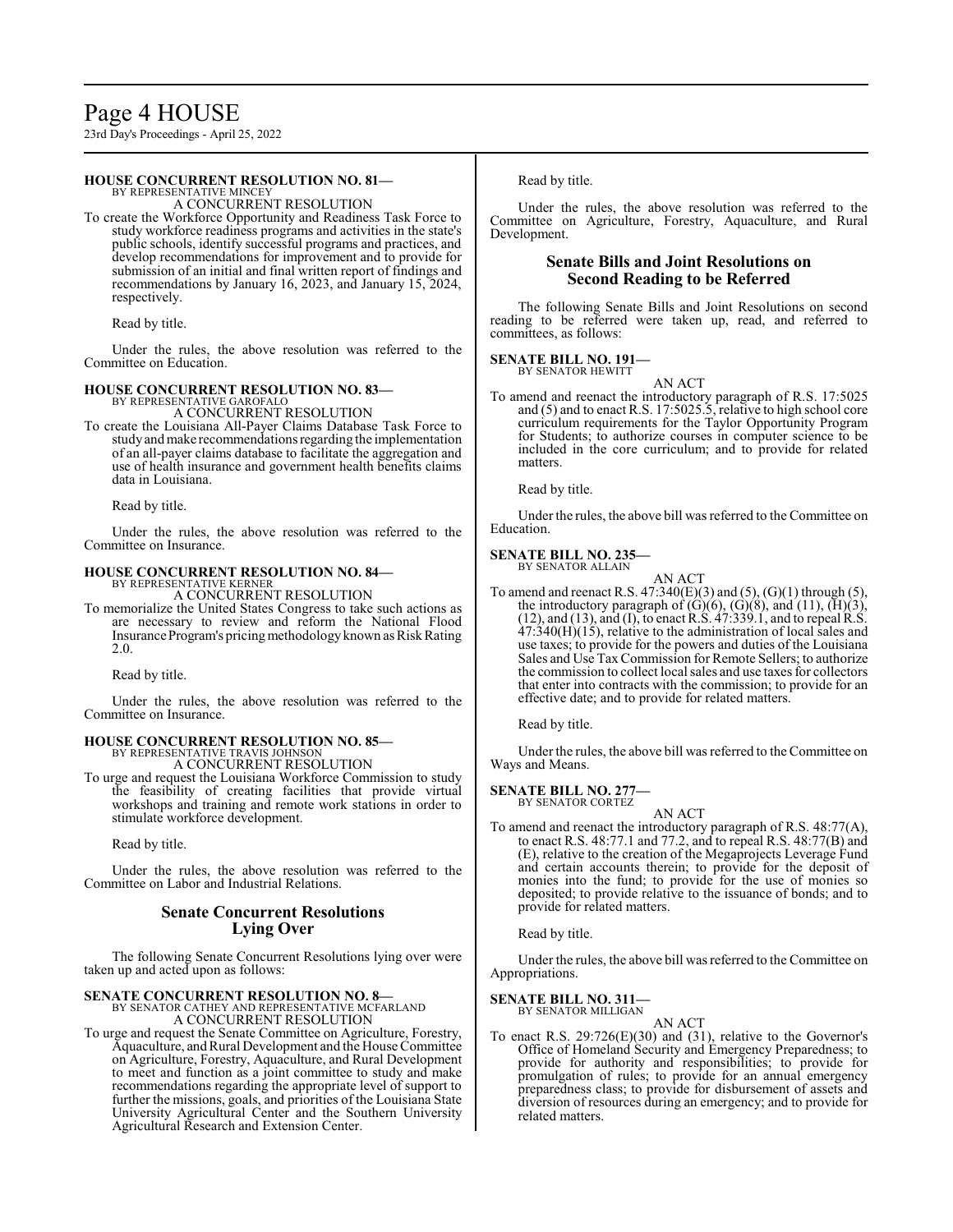# Page 4 HOUSE

23rd Day's Proceedings - April 25, 2022

# **HOUSE CONCURRENT RESOLUTION NO. 81—**

BY REPRESENTATIVE MINCEY A CONCURRENT RESOLUTION

To create the Workforce Opportunity and Readiness Task Force to study workforce readiness programs and activities in the state's public schools, identify successful programs and practices, and develop recommendations for improvement and to provide for submission of an initial and final written report of findings and recommendations by January 16, 2023, and January 15, 2024, respectively.

Read by title.

Under the rules, the above resolution was referred to the Committee on Education.

### **HOUSE CONCURRENT RESOLUTION NO. 83—**

BY REPRESENTATIVE GAROFALO A CONCURRENT RESOLUTION

To create the Louisiana All-Payer Claims Database Task Force to study and make recommendations regarding the implementation of an all-payer claims database to facilitate the aggregation and use of health insurance and government health benefits claims data in Louisiana.

Read by title.

Under the rules, the above resolution was referred to the Committee on Insurance.

# **HOUSE CONCURRENT RESOLUTION NO. 84—** BY REPRESENTATIVE KERNER A CONCURRENT RESOLUTION

To memorialize the United States Congress to take such actions as are necessary to review and reform the National Flood Insurance Program's pricing methodology known as Risk Rating 2.0.

Read by title.

Under the rules, the above resolution was referred to the Committee on Insurance.

# **HOUSE CONCURRENT RESOLUTION NO. 85—** BY REPRESENTATIVE TRAVIS JOHNSON

A CONCURRENT RESOLUTION

To urge and request the Louisiana Workforce Commission to study the feasibility of creating facilities that provide virtual workshops and training and remote work stations in order to stimulate workforce development.

Read by title.

Under the rules, the above resolution was referred to the Committee on Labor and Industrial Relations.

# **Senate Concurrent Resolutions Lying Over**

The following Senate Concurrent Resolutions lying over were taken up and acted upon as follows:

# **SENATE CONCURRENT RESOLUTION NO. 8—**<br>BY SENATOR CATHEY AND REPRESENTATIVE MCFARLAND

A CONCURRENT RESOLUTION

To urge and request the Senate Committee on Agriculture, Forestry, Aquaculture, and Rural Development and the House Committee on Agriculture, Forestry, Aquaculture, and Rural Development to meet and function as a joint committee to study and make recommendations regarding the appropriate level of support to further the missions, goals, and priorities of the Louisiana State University Agricultural Center and the Southern University Agricultural Research and Extension Center.

Read by title.

Under the rules, the above resolution was referred to the Committee on Agriculture, Forestry, Aquaculture, and Rural Development.

# **Senate Bills and Joint Resolutions on Second Reading to be Referred**

The following Senate Bills and Joint Resolutions on second reading to be referred were taken up, read, and referred to committees, as follows:

#### **SENATE BILL NO. 191—**

BY SENATOR HEWITT AN ACT

To amend and reenact the introductory paragraph of R.S. 17:5025 and (5) and to enact R.S. 17:5025.5, relative to high school core curriculum requirements for the Taylor Opportunity Program for Students; to authorize courses in computer science to be included in the core curriculum; and to provide for related matters.

Read by title.

Under the rules, the above bill was referred to the Committee on Education.

# **SENATE BILL NO. 235—**

BY SENATOR ALLAIN

AN ACT To amend and reenact R.S.  $47:340(E)(3)$  and  $(5)$ ,  $(G)(1)$  through  $(5)$ , the introductory paragraph of  $(G)(6)$ ,  $(G)(8)$ , and  $(11)$ ,  $(H)(3)$ , (12), and (13), and (I), to enact R.S. 47:339.1, and to repeal R.S.  $47:340(H)(15)$ , relative to the administration of local sales and use taxes; to provide for the powers and duties of the Louisiana Sales and Use TaxCommission for Remote Sellers; to authorize the commission to collect local sales and use taxes for collectors that enter into contracts with the commission; to provide for an effective date; and to provide for related matters.

Read by title.

Under the rules, the above bill was referred to the Committee on Ways and Means.

# **SENATE BILL NO. 277—**

BY SENATOR CORTEZ

AN ACT To amend and reenact the introductory paragraph of R.S. 48:77(A), to enact R.S. 48:77.1 and 77.2, and to repeal R.S. 48:77(B) and (E), relative to the creation of the Megaprojects Leverage Fund and certain accounts therein; to provide for the deposit of monies into the fund; to provide for the use of monies so deposited; to provide relative to the issuance of bonds; and to provide for related matters.

Read by title.

Under the rules, the above bill was referred to the Committee on Appropriations.

# **SENATE BILL NO. 311—** BY SENATOR MILLIGAN

AN ACT

To enact R.S. 29:726(E)(30) and (31), relative to the Governor's Office of Homeland Security and Emergency Preparedness; to provide for authority and responsibilities; to provide for promulgation of rules; to provide for an annual emergency preparedness class; to provide for disbursement of assets and diversion of resources during an emergency; and to provide for related matters.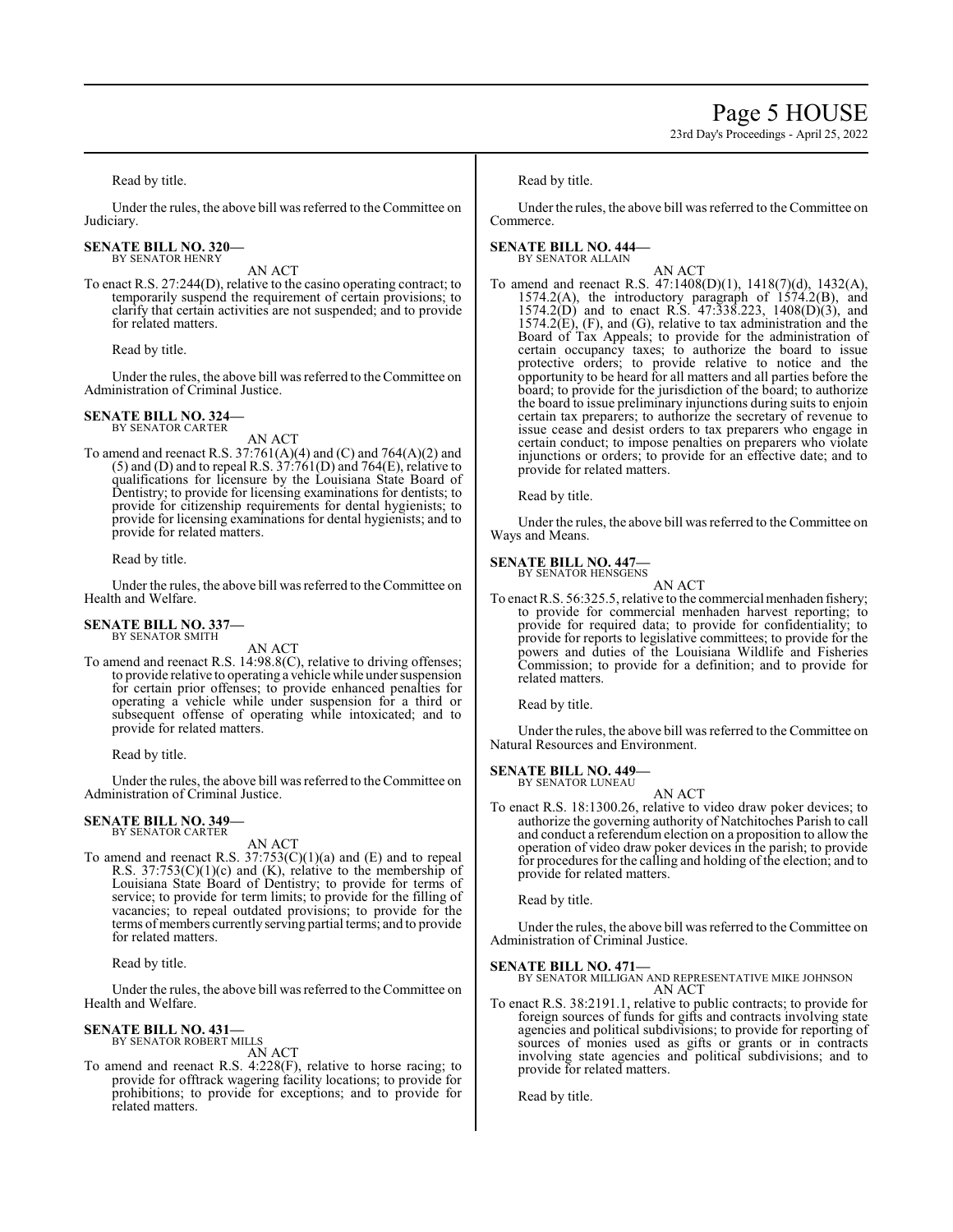Read by title.

Under the rules, the above bill was referred to the Committee on Judiciary.

#### **SENATE BILL NO. 320—** BY SENATOR HENRY

AN ACT

To enact R.S. 27:244(D), relative to the casino operating contract; to temporarily suspend the requirement of certain provisions; to clarify that certain activities are not suspended; and to provide for related matters.

Read by title.

Under the rules, the above bill was referred to the Committee on Administration of Criminal Justice.

#### **SENATE BILL NO. 324—** BY SENATOR CARTER

AN ACT

To amend and reenact R.S. 37:761(A)(4) and (C) and 764(A)(2) and  $(5)$  and  $(D)$  and to repeal R.S.  $37:761(D)$  and  $764(E)$ , relative to qualifications for licensure by the Louisiana State Board of Dentistry; to provide for licensing examinations for dentists; to provide for citizenship requirements for dental hygienists; to provide for licensing examinations for dental hygienists; and to provide for related matters.

Read by title.

Under the rules, the above bill was referred to the Committee on Health and Welfare.

# **SENATE BILL NO. 337—** BY SENATOR SMITH

AN ACT

To amend and reenact R.S. 14:98.8(C), relative to driving offenses; to provide relative to operating a vehicle while under suspension for certain prior offenses; to provide enhanced penalties for operating a vehicle while under suspension for a third or subsequent offense of operating while intoxicated; and to provide for related matters.

Read by title.

Under the rules, the above bill was referred to the Committee on Administration of Criminal Justice.

#### **SENATE BILL NO. 349—** BY SENATOR CARTER

AN ACT

To amend and reenact R.S.  $37:753(C)(1)(a)$  and (E) and to repeal R.S.  $37:753(C)(1)(c)$  and (K), relative to the membership of Louisiana State Board of Dentistry; to provide for terms of service; to provide for term limits; to provide for the filling of vacancies; to repeal outdated provisions; to provide for the terms of members currently serving partial terms; and to provide for related matters.

Read by title.

Under the rules, the above bill was referred to the Committee on Health and Welfare.

# **SENATE BILL NO. 431—**

BY SENATOR ROBERT MILLS

AN ACT To amend and reenact R.S. 4:228(F), relative to horse racing; to provide for offtrack wagering facility locations; to provide for prohibitions; to provide for exceptions; and to provide for related matters.

#### Read by title.

Under the rules, the above bill was referred to the Committee on Commerce.

# **SENATE BILL NO. 444—** BY SENATOR ALLAIN

AN ACT

To amend and reenact R.S. 47:1408(D)(1), 1418(7)(d), 1432(A), 1574.2(A), the introductory paragraph of 1574.2(B), and 1574.2(D) and to enact R.S. 47:338.223, 1408(D)(3), and  $1574.2(E)$ , (F), and (G), relative to tax administration and the Board of Tax Appeals; to provide for the administration of certain occupancy taxes; to authorize the board to issue protective orders; to provide relative to notice and the opportunity to be heard for all matters and all parties before the board; to provide for the jurisdiction of the board; to authorize the board to issue preliminary injunctions during suits to enjoin certain tax preparers; to authorize the secretary of revenue to issue cease and desist orders to tax preparers who engage in certain conduct; to impose penalties on preparers who violate injunctions or orders; to provide for an effective date; and to provide for related matters.

Read by title.

Under the rules, the above bill was referred to the Committee on Ways and Means.

#### **SENATE BILL NO. 447—** BY SENATOR HENSGENS

AN ACT

To enact R.S. 56:325.5, relative to the commercial menhaden fishery; to provide for commercial menhaden harvest reporting; to provide for required data; to provide for confidentiality; to provide for reports to legislative committees; to provide for the powers and duties of the Louisiana Wildlife and Fisheries Commission; to provide for a definition; and to provide for related matters.

Read by title.

Under the rules, the above bill was referred to the Committee on Natural Resources and Environment.

**SENATE BILL NO. 449—**

BY SENATOR LUNEAU AN ACT

To enact R.S. 18:1300.26, relative to video draw poker devices; to authorize the governing authority of Natchitoches Parish to call and conduct a referendum election on a proposition to allow the operation of video draw poker devices in the parish; to provide for procedures for the calling and holding of the election; and to provide for related matters.

Read by title.

Under the rules, the above bill was referred to the Committee on Administration of Criminal Justice.

# **SENATE BILL NO. 471—**

BY SENATOR MILLIGAN AND REPRESENTATIVE MIKE JOHNSON AN ACT

To enact R.S. 38:2191.1, relative to public contracts; to provide for foreign sources of funds for gifts and contracts involving state agencies and political subdivisions; to provide for reporting of sources of monies used as gifts or grants or in contracts involving state agencies and political subdivisions; and to provide for related matters.

Read by title.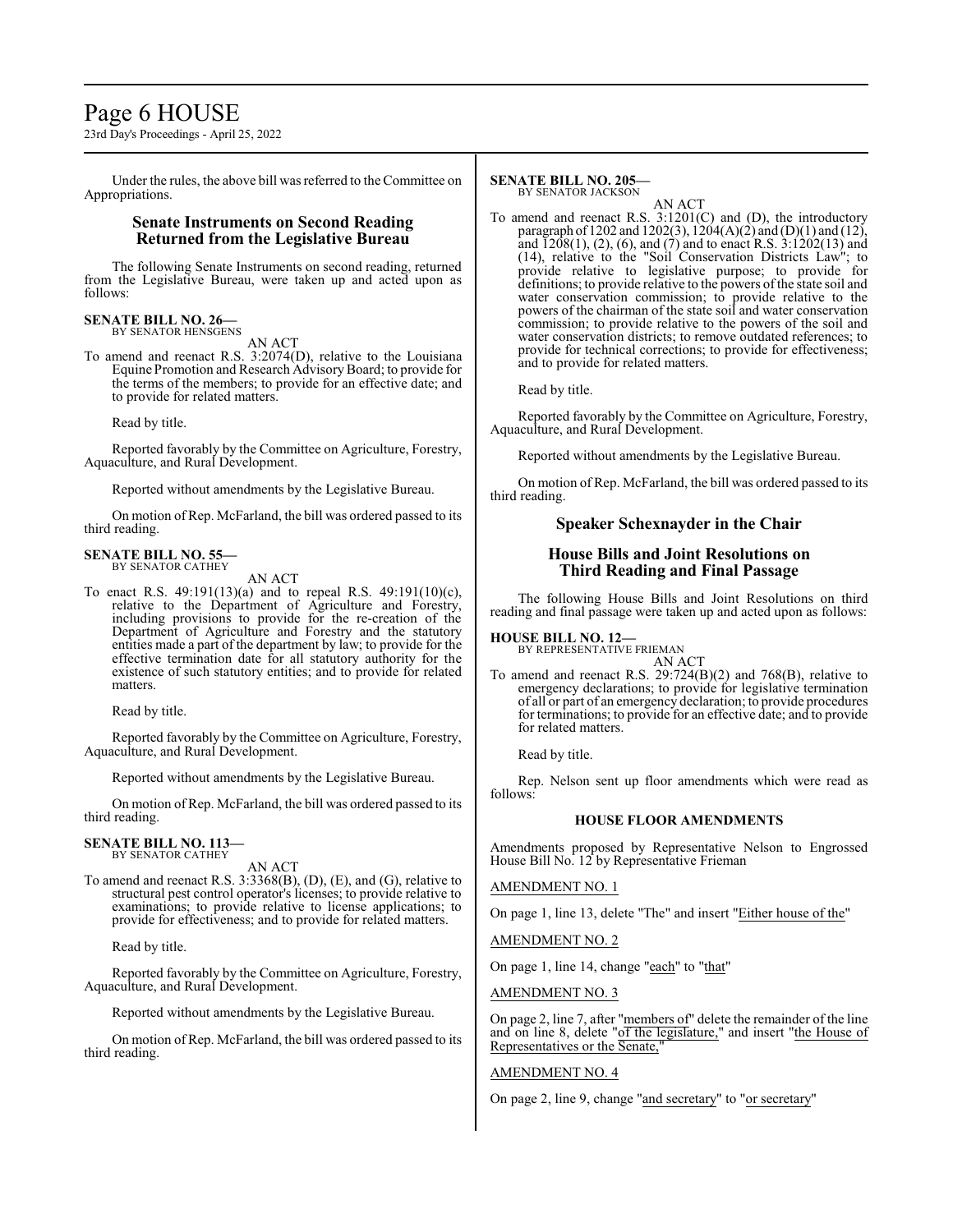# Page 6 HOUSE

23rd Day's Proceedings - April 25, 2022

Under the rules, the above bill was referred to the Committee on Appropriations.

# **Senate Instruments on Second Reading Returned from the Legislative Bureau**

The following Senate Instruments on second reading, returned from the Legislative Bureau, were taken up and acted upon as follows:

# **SENATE BILL NO. 26—** BY SENATOR HENSGENS

AN ACT

To amend and reenact R.S. 3:2074(D), relative to the Louisiana Equine Promotion and Research AdvisoryBoard; to provide for the terms of the members; to provide for an effective date; and to provide for related matters.

Read by title.

Reported favorably by the Committee on Agriculture, Forestry, Aquaculture, and Rural Development.

Reported without amendments by the Legislative Bureau.

On motion of Rep. McFarland, the bill was ordered passed to its third reading.

#### **SENATE BILL NO. 55—** BY SENATOR CATHEY

AN ACT

To enact R.S. 49:191(13)(a) and to repeal R.S. 49:191(10)(c), relative to the Department of Agriculture and Forestry, including provisions to provide for the re-creation of the Department of Agriculture and Forestry and the statutory entities made a part of the department by law; to provide for the effective termination date for all statutory authority for the existence of such statutory entities; and to provide for related matters.

Read by title.

Reported favorably by the Committee on Agriculture, Forestry, Aquaculture, and Rural Development.

Reported without amendments by the Legislative Bureau.

On motion of Rep. McFarland, the bill was ordered passed to its third reading.

# **SENATE BILL NO. 113—** BY SENATOR CATHEY

AN ACT

To amend and reenact R.S. 3:3368(B), (D), (E), and (G), relative to structural pest control operator's licenses; to provide relative to examinations; to provide relative to license applications; to provide for effectiveness; and to provide for related matters.

Read by title.

Reported favorably by the Committee on Agriculture, Forestry, Aquaculture, and Rural Development.

Reported without amendments by the Legislative Bureau.

On motion of Rep. McFarland, the bill was ordered passed to its third reading.

#### **SENATE BILL NO. 205—** BY SENATOR JACKSON

AN ACT

To amend and reenact R.S. 3:1201(C) and (D), the introductory paragraph of 1202 and 1202(3), 1204(A)(2) and (D)(1) and (12), and  $\overline{1208(1)}$ , (2), (6), and (7) and to enact R.S.  $3:1202(13)$  and (14), relative to the "Soil Conservation Districts Law"; to provide relative to legislative purpose; to provide for definitions; to provide relative to the powers of the state soil and water conservation commission; to provide relative to the powers of the chairman of the state soil and water conservation commission; to provide relative to the powers of the soil and water conservation districts; to remove outdated references; to provide for technical corrections; to provide for effectiveness; and to provide for related matters.

Read by title.

Reported favorably by the Committee on Agriculture, Forestry, Aquaculture, and Rural Development.

Reported without amendments by the Legislative Bureau.

On motion of Rep. McFarland, the bill was ordered passed to its third reading.

# **Speaker Schexnayder in the Chair**

# **House Bills and Joint Resolutions on Third Reading and Final Passage**

The following House Bills and Joint Resolutions on third reading and final passage were taken up and acted upon as follows:

# **HOUSE BILL NO. 12—** BY REPRESENTATIVE FRIEMAN

AN ACT

To amend and reenact R.S. 29:724(B)(2) and 768(B), relative to emergency declarations; to provide for legislative termination of all or part of an emergency declaration; to provide procedures for terminations; to provide for an effective date; and to provide for related matters.

Read by title.

Rep. Nelson sent up floor amendments which were read as follows:

# **HOUSE FLOOR AMENDMENTS**

Amendments proposed by Representative Nelson to Engrossed House Bill No. 12 by Representative Frieman

# AMENDMENT NO. 1

On page 1, line 13, delete "The" and insert "Either house of the"

AMENDMENT NO. 2

On page 1, line 14, change "each" to "that"

AMENDMENT NO. 3

On page 2, line 7, after "members of" delete the remainder of the line and on line 8, delete "of the legislature," and insert "the House of Representatives or the Senate,

# AMENDMENT NO. 4

On page 2, line 9, change "and secretary" to "or secretary"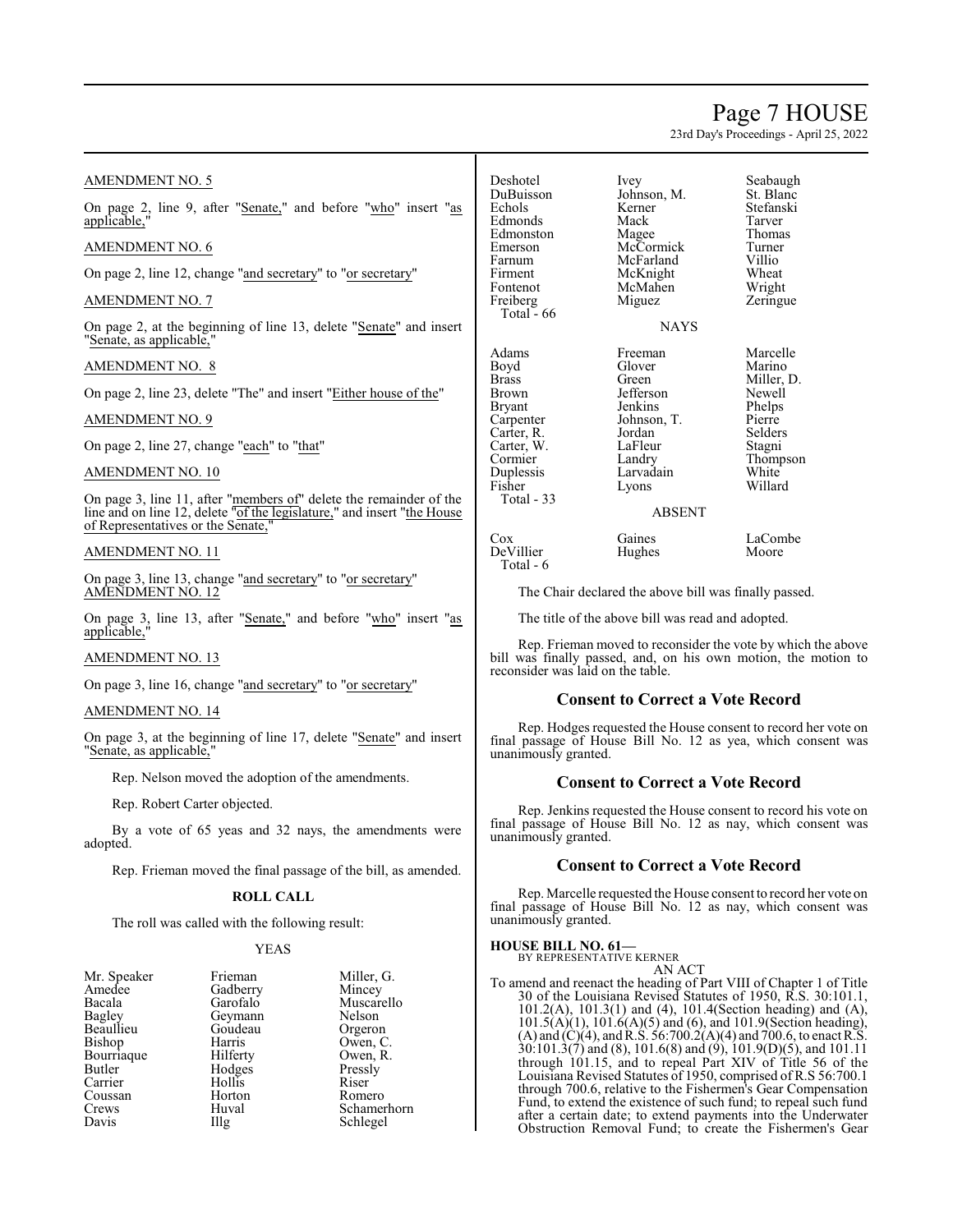# Page 7 HOUSE

23rd Day's Proceedings - April 25, 2022

# AMENDMENT NO. 5

On page 2, line 9, after "Senate," and before "who" insert "as applicable,

# AMENDMENT NO. 6

On page 2, line 12, change "and secretary" to "or secretary"

# AMENDMENT NO. 7

On page 2, at the beginning of line 13, delete "Senate" and insert "Senate, as applicable,"

# AMENDMENT NO. 8

On page 2, line 23, delete "The" and insert "Either house of the"

# AMENDMENT NO. 9

On page 2, line 27, change "each" to "that"

# AMENDMENT NO. 10

On page 3, line 11, after "members of" delete the remainder of the line and on line 12, delete "of the legislature," and insert "the House of Representatives or the Senate,"

# AMENDMENT NO. 11

On page 3, line 13, change "and secretary" to "or secretary" AMENDMENT NO. 12

On page 3, line 13, after "Senate," and before "who" insert "as applicable,

# AMENDMENT NO. 13

On page 3, line 16, change "and secretary" to "or secretary"

# AMENDMENT NO. 14

On page 3, at the beginning of line 17, delete "Senate" and insert "Senate, as applicable,"

Rep. Nelson moved the adoption of the amendments.

Rep. Robert Carter objected.

By a vote of 65 yeas and 32 nays, the amendments were adopted.

Rep. Frieman moved the final passage of the bill, as amended.

# **ROLL CALL**

The roll was called with the following result:

# YEAS

| Frieman     | Miller, G.  |
|-------------|-------------|
| Gadberry    | Mincey      |
| Garofalo    | Muscarello  |
| Geymann     | Nelson      |
| Goudeau     | Orgeron     |
| Harris      | Owen, C.    |
| Hilferty    | Owen, R.    |
| Hodges      | Pressly     |
| Hollis      | Riser       |
| Horton      | Romero      |
| Huval       | Schamerhorn |
| $\prod$ llg | Schlegel    |
|             |             |

| Deshotel<br>DuBuisson<br>Echols<br>Edmonds<br>Edmonston | Ivey<br>Johnson, M.<br>Kerner<br>Mack<br>Magee | Seabaugh<br>St. Blanc<br>Stefanski<br>Tarver<br>Thomas |
|---------------------------------------------------------|------------------------------------------------|--------------------------------------------------------|
| Emerson                                                 | McCormick                                      | Turner                                                 |
| Farnum                                                  | McFarland                                      | Villio                                                 |
| Firment                                                 | McKnight                                       | Wheat                                                  |
| Fontenot                                                | McMahen                                        | Wright                                                 |
| Freiberg<br>Total - 66                                  | Miguez                                         | Zeringue                                               |
|                                                         | <b>NAYS</b>                                    |                                                        |
| Adams                                                   | Freeman                                        | Marcelle                                               |
| Boyd                                                    | Glover                                         | Marino                                                 |
| <b>Brass</b>                                            | Green                                          | Miller, D.                                             |
| Brown                                                   | Jefferson                                      | Newell                                                 |
| Bryant                                                  | Jenkins                                        | Phelps                                                 |
| Carpenter                                               | Johnson, T.                                    | Pierre                                                 |
| Carter, R.                                              | Jordan                                         | Selders                                                |
| Carter, W.                                              | LaFleur                                        | Stagni                                                 |
| Cormier                                                 | Landry                                         | Thompson                                               |
| Duplessis                                               | Larvadain                                      | White                                                  |
| Fisher<br>Total - 33                                    | Lyons                                          | Willard                                                |
|                                                         | ABSENT                                         |                                                        |
|                                                         |                                                |                                                        |

DeVillier Total - 6

# Zeringue Phelps<br>Pierre Thompson<br>White

ABSENT

# Cox Gaines LaCombe<br>
DeVillier Hughes Moore

The Chair declared the above bill was finally passed.

The title of the above bill was read and adopted.

Rep. Frieman moved to reconsider the vote by which the above bill was finally passed, and, on his own motion, the motion to reconsider was laid on the table.

# **Consent to Correct a Vote Record**

Rep. Hodges requested the House consent to record her vote on final passage of House Bill No. 12 as yea, which consent was unanimously granted.

# **Consent to Correct a Vote Record**

Rep. Jenkins requested the House consent to record his vote on final passage of House Bill No. 12 as nay, which consent was unanimously granted.

# **Consent to Correct a Vote Record**

Rep. Marcelle requested the House consent to record her vote on final passage of House Bill No. 12 as nay, which consent was unanimously granted.

# **HOUSE BILL NO. 61—** BY REPRESENTATIVE KERNER

AN ACT

To amend and reenact the heading of Part VIII of Chapter 1 of Title 30 of the Louisiana Revised Statutes of 1950, R.S. 30:101.1, 101.2(A), 101.3(1) and (4), 101.4(Section heading) and (A),  $101.5(A)(1)$ ,  $101.6(A)(5)$  and (6), and  $101.9$ (Section heading), (A) and  $(C)(4)$ , and R.S. 56:700.2(A)(4) and 700.6, to enact R.S. 30:101.3(7) and (8), 101.6(8) and (9), 101.9(D)(5), and 101.11 through 101.15, and to repeal Part XIV of Title 56 of the Louisiana Revised Statutes of 1950, comprised of R.S 56:700.1 through 700.6, relative to the Fishermen's Gear Compensation Fund, to extend the existence of such fund; to repeal such fund after a certain date; to extend payments into the Underwater Obstruction Removal Fund; to create the Fishermen's Gear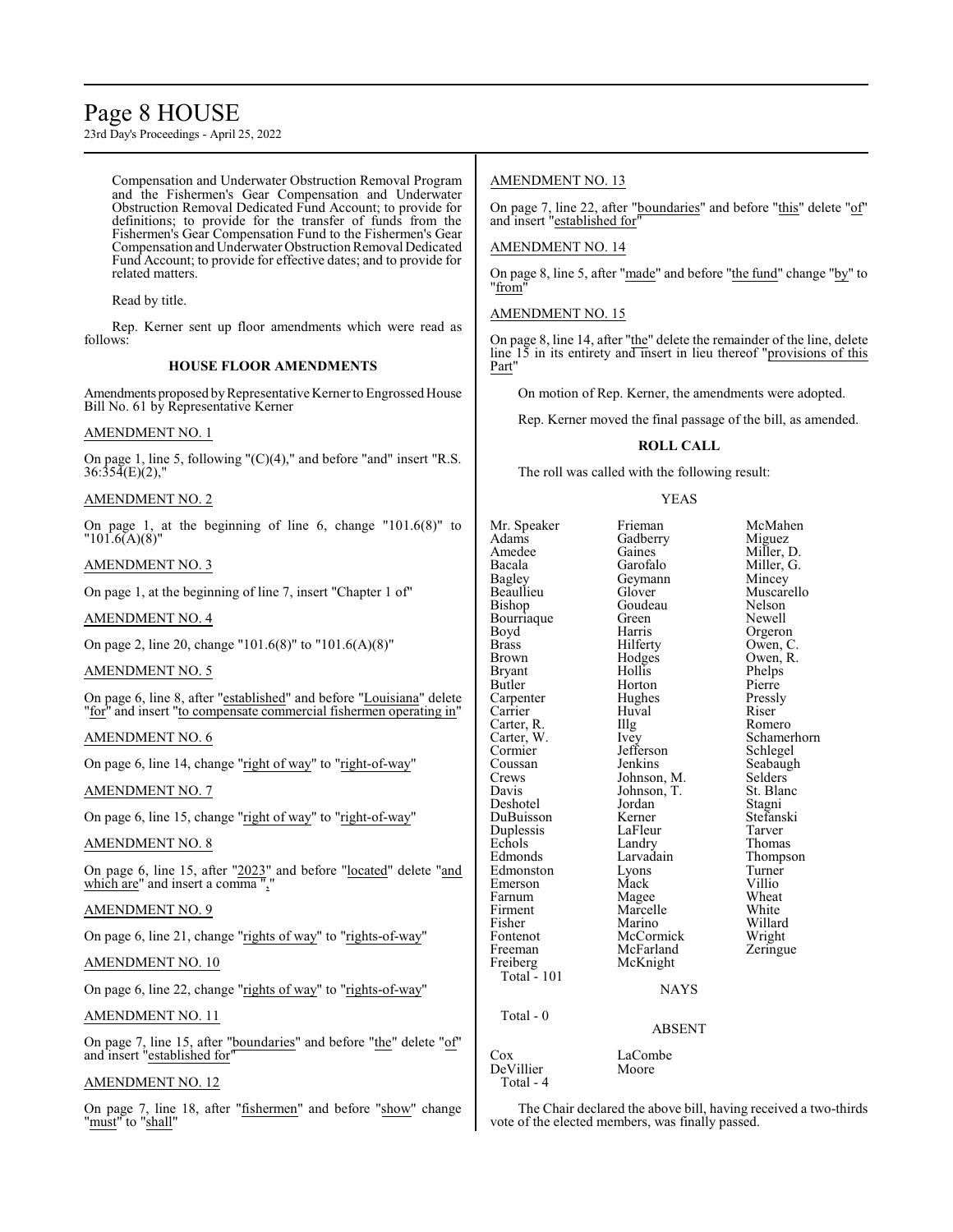# Page 8 HOUSE

23rd Day's Proceedings - April 25, 2022

Compensation and Underwater Obstruction Removal Program and the Fishermen's Gear Compensation and Underwater Obstruction Removal Dedicated Fund Account; to provide for definitions; to provide for the transfer of funds from the Fishermen's Gear Compensation Fund to the Fishermen's Gear Compensation and Underwater Obstruction Removal Dedicated Fund Account; to provide for effective dates; and to provide for related matters.

Read by title.

Rep. Kerner sent up floor amendments which were read as follows:

# **HOUSE FLOOR AMENDMENTS**

Amendments proposed by Representative Kerner to Engrossed House Bill No. 61 by Representative Kerner

# AMENDMENT NO. 1

On page 1, line 5, following "(C)(4)," and before "and" insert "R.S.  $36:35\overline{4(E)}(2)$ ,"

# AMENDMENT NO. 2

On page 1, at the beginning of line 6, change "101.6(8)" to  $"101.6(A)(8)"$ 

# AMENDMENT NO. 3

On page 1, at the beginning of line 7, insert "Chapter 1 of"

# AMENDMENT NO. 4

On page 2, line 20, change "101.6(8)" to "101.6(A)(8)"

# AMENDMENT NO. 5

On page 6, line 8, after "established" and before "Louisiana" delete "for" and insert "to compensate commercial fishermen operating in"

# AMENDMENT NO. 6

On page 6, line 14, change "right of way" to "right-of-way"

# AMENDMENT NO. 7

On page 6, line 15, change "right of way" to "right-of-way"

# AMENDMENT NO. 8

On page 6, line 15, after "2023" and before "located" delete "and which are" and insert a comma ","

# AMENDMENT NO. 9

On page 6, line 21, change "rights of way" to "rights-of-way"

# AMENDMENT NO. 10

On page 6, line 22, change "rights of way" to "rights-of-way"

# AMENDMENT NO. 11

On page 7, line 15, after "boundaries" and before "the" delete "of" and insert "established for"

# AMENDMENT NO. 12

On page 7, line 18, after "fishermen" and before "show" change "must" to "shall"

# AMENDMENT NO. 13

On page 7, line 22, after "boundaries" and before "this" delete "of" and insert "established for"

# AMENDMENT NO. 14

On page 8, line 5, after "made" and before "the fund" change "by" to "from"

# AMENDMENT NO. 15

On page 8, line 14, after "the" delete the remainder of the line, delete line 15 in its entirety and insert in lieu thereof "provisions of this Part"

On motion of Rep. Kerner, the amendments were adopted.

Rep. Kerner moved the final passage of the bill, as amended.

# **ROLL CALL**

The roll was called with the following result:

# YEAS

| Mr. Speaker  | Frieman       | McMahen     |
|--------------|---------------|-------------|
| Adams        | Gadberry      | Miguez      |
| Amedee       | Gaines        | Miller, D.  |
| Bacala       | Garofalo      | Miller, G.  |
| Bagley       | Geymann       | Mincey      |
| Beaullieu    | Glover        | Muscarello  |
| Bishop       | Goudeau       | Nelson      |
| Bourriaque   | Green         | Newell      |
| Boyd         | Harris        | Orgeron     |
| <b>Brass</b> | Hilferty      | Owen, C.    |
| Brown        | Hodges        | Owen, R.    |
| Bryant       | Hollis        | Phelps      |
| Butler       | Horton        | Pierre      |
| Carpenter    | Hughes        | Pressly     |
| Carrier      | Huval         | Riser       |
| Carter, R.   | Illg          | Romero      |
| Carter, W.   | <i>lvey</i>   | Schamerhorn |
| Cormier      | Jefferson     | Schlegel    |
| Coussan      | Jenkins       | Seabaugh    |
| Crews        | Johnson, M.   | Selders     |
| Davis        | Johnson, T.   | St. Blanc   |
| Deshotel     | Jordan        | Stagni      |
| DuBuisson    | Kerner        | Stefanski   |
| Duplessis    | LaFleur       | Tarver      |
| Echols       | Landry        | Thomas      |
| Edmonds      | Larvadain     | Thompson    |
| Edmonston    | Lyons         | Turner      |
| Emerson      | Mack          | Villio      |
| Farnum       | Magee         | Wheat       |
| Firment      | Marcelle      | White       |
| Fisher       | Marino        | Willard     |
| Fontenot     | McCormick     | Wright      |
| Freeman      | McFarland     | Zeringue    |
| Freiberg     | McKnight      |             |
| Total $-101$ |               |             |
|              | NAYS          |             |
| Total - 0    |               |             |
|              | <b>ABSENT</b> |             |
| $\cos$       | LaCombe       |             |
| DeVillier    | Moore         |             |

# **NAYS**

# ABSENT

Total - 4

The Chair declared the above bill, having received a two-thirds vote of the elected members, was finally passed.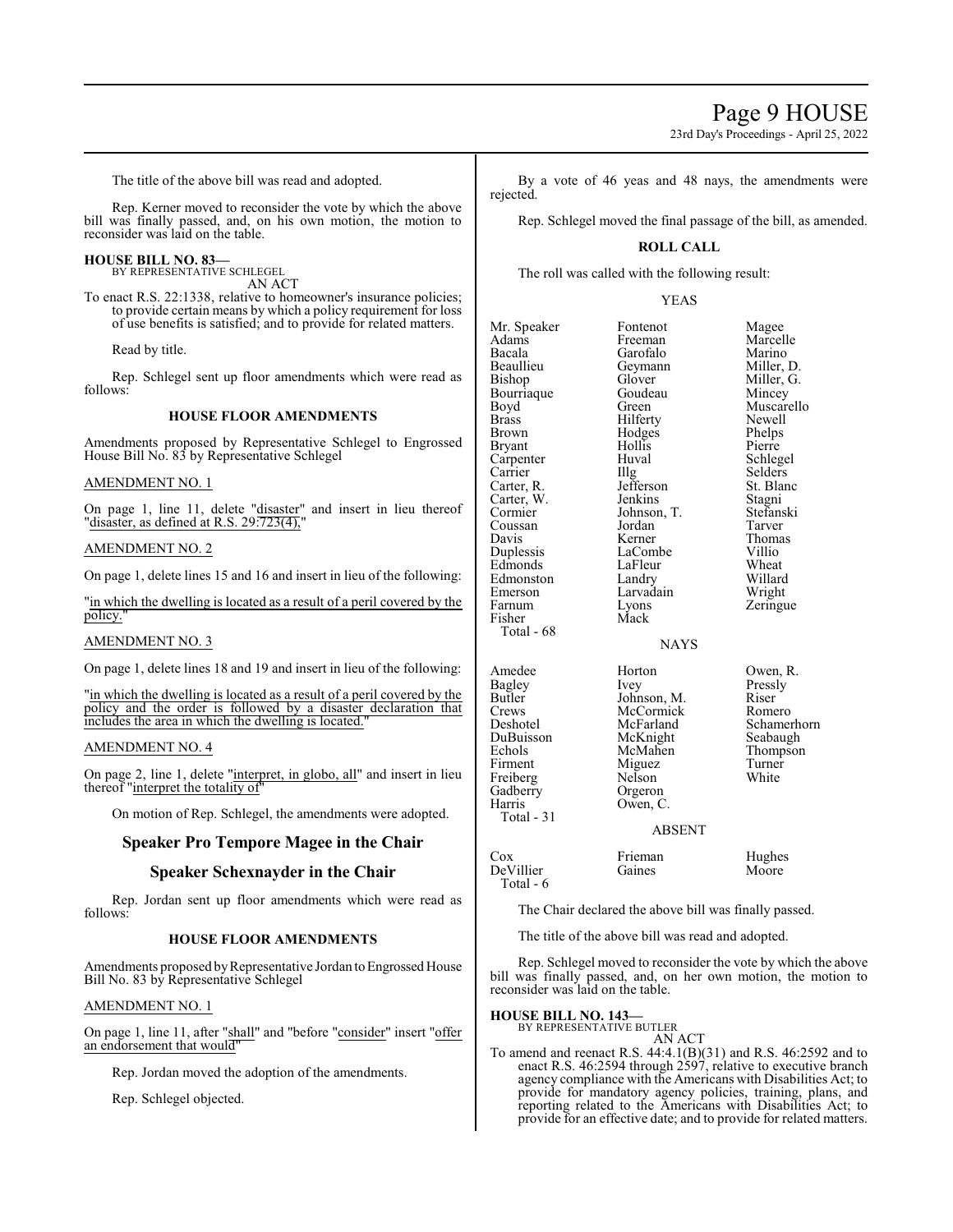23rd Day's Proceedings - April 25, 2022

The title of the above bill was read and adopted.

Rep. Kerner moved to reconsider the vote by which the above bill was finally passed, and, on his own motion, the motion to reconsider was laid on the table.

# **HOUSE BILL NO. 83—**

BY REPRESENTATIVE SCHLEGEL AN ACT

To enact R.S. 22:1338, relative to homeowner's insurance policies; to provide certain means by which a policy requirement for loss of use benefits is satisfied; and to provide for related matters.

Read by title.

Rep. Schlegel sent up floor amendments which were read as follows:

### **HOUSE FLOOR AMENDMENTS**

Amendments proposed by Representative Schlegel to Engrossed House Bill No. 83 by Representative Schlegel

#### AMENDMENT NO. 1

On page 1, line 11, delete "disaster" and insert in lieu thereof "disaster, as defined at R.S. 29:723(4),

# AMENDMENT NO. 2

On page 1, delete lines 15 and 16 and insert in lieu of the following:

"in which the dwelling is located as a result of a peril covered by the policy."

# AMENDMENT NO. 3

On page 1, delete lines 18 and 19 and insert in lieu of the following:

"in which the dwelling is located as a result of a peril covered by the policy and the order is followed by a disaster declaration that includes the area in which the dwelling is located.

#### AMENDMENT NO. 4

On page 2, line 1, delete "interpret, in globo, all" and insert in lieu thereof "interpret the totality of

On motion of Rep. Schlegel, the amendments were adopted.

# **Speaker Pro Tempore Magee in the Chair**

# **Speaker Schexnayder in the Chair**

Rep. Jordan sent up floor amendments which were read as follows:

#### **HOUSE FLOOR AMENDMENTS**

Amendments proposed by Representative Jordan to Engrossed House Bill No. 83 by Representative Schlegel

#### AMENDMENT NO. 1

On page 1, line 11, after "shall" and "before "consider" insert "offer an endorsement that would"

Rep. Jordan moved the adoption of the amendments.

Rep. Schlegel objected.

By a vote of 46 yeas and 48 nays, the amendments were rejected.

Rep. Schlegel moved the final passage of the bill, as amended.

# **ROLL CALL**

The roll was called with the following result:

#### YEAS

| Mr. Speaker  | Fontenot              | Magee       |  |
|--------------|-----------------------|-------------|--|
| Adams        | Marcelle<br>Freeman   |             |  |
| Bacala       | Garofalo<br>Marino    |             |  |
| Beaullieu    | Miller, D.<br>Geymann |             |  |
| Bishop       | Miller, G.<br>Glover  |             |  |
| Bourriaque   | Goudeau               | Mincey      |  |
| Boyd         | Green                 | Muscarello  |  |
| Brass        | Hilferty              | Newell      |  |
| <b>Brown</b> | Hodges                | Phelps      |  |
| Bryant       | Hollis                | Pierre      |  |
| Carpenter    | Huval                 | Schlegel    |  |
| Carrier      | Illg                  | Selders     |  |
| Carter, R.   | Jefferson             | St. Blanc   |  |
| Carter, W.   | Jenkins               | Stagni      |  |
| Cormier      | Johnson, T.           | Stefanski   |  |
| Coussan      | Jordan                | Tarver      |  |
| Davis        | Kerner                | Thomas      |  |
| Duplessis    | LaCombe               | Villio      |  |
| Edmonds      | Wheat<br>LaFleur      |             |  |
| Edmonston    | Willard<br>Landry     |             |  |
| Emerson      | Larvadain             | Wright      |  |
| Farnum       | Lyons                 | Zeringue    |  |
| Fisher       | Mack                  |             |  |
| Total - 68   |                       |             |  |
|              | <b>NAYS</b>           |             |  |
| Amedee       | Horton                | Owen, R.    |  |
| Bagley       | Ivey                  | Pressly     |  |
| Butler       | Johnson, M.           | Riser       |  |
| Crews        | McCormick             | Romero      |  |
| Deshotel     | McFarland             | Schamerhorn |  |
| DuBuisson    | McKnight              | Seabaugh    |  |
| Echols       | McMahen               | Thompson    |  |
| Firment      | Miguez                | Turner      |  |
| Freiberg     | Nelson                | White       |  |
| Gadberry     | Orgeron               |             |  |
| Harris       | Owen, C.              |             |  |
| Total - 31   |                       |             |  |
|              | <b>ABSENT</b>         |             |  |
| Cox          | Frieman               | Hughes      |  |

# ABSENT

Cox Frieman Hughes<br>DeVillier Gaines Moore DeVillier Total - 6

The Chair declared the above bill was finally passed.

The title of the above bill was read and adopted.

Rep. Schlegel moved to reconsider the vote by which the above bill was finally passed, and, on her own motion, the motion to reconsider was laid on the table.

# **HOUSE BILL NO. 143—** BY REPRESENTATIVE BUTLER

AN ACT

To amend and reenact R.S. 44:4.1(B)(31) and R.S. 46:2592 and to enact R.S. 46:2594 through 2597, relative to executive branch agency compliance with the Americans with Disabilities Act; to provide for mandatory agency policies, training, plans, and reporting related to the Americans with Disabilities Act; to provide for an effective date; and to provide for related matters.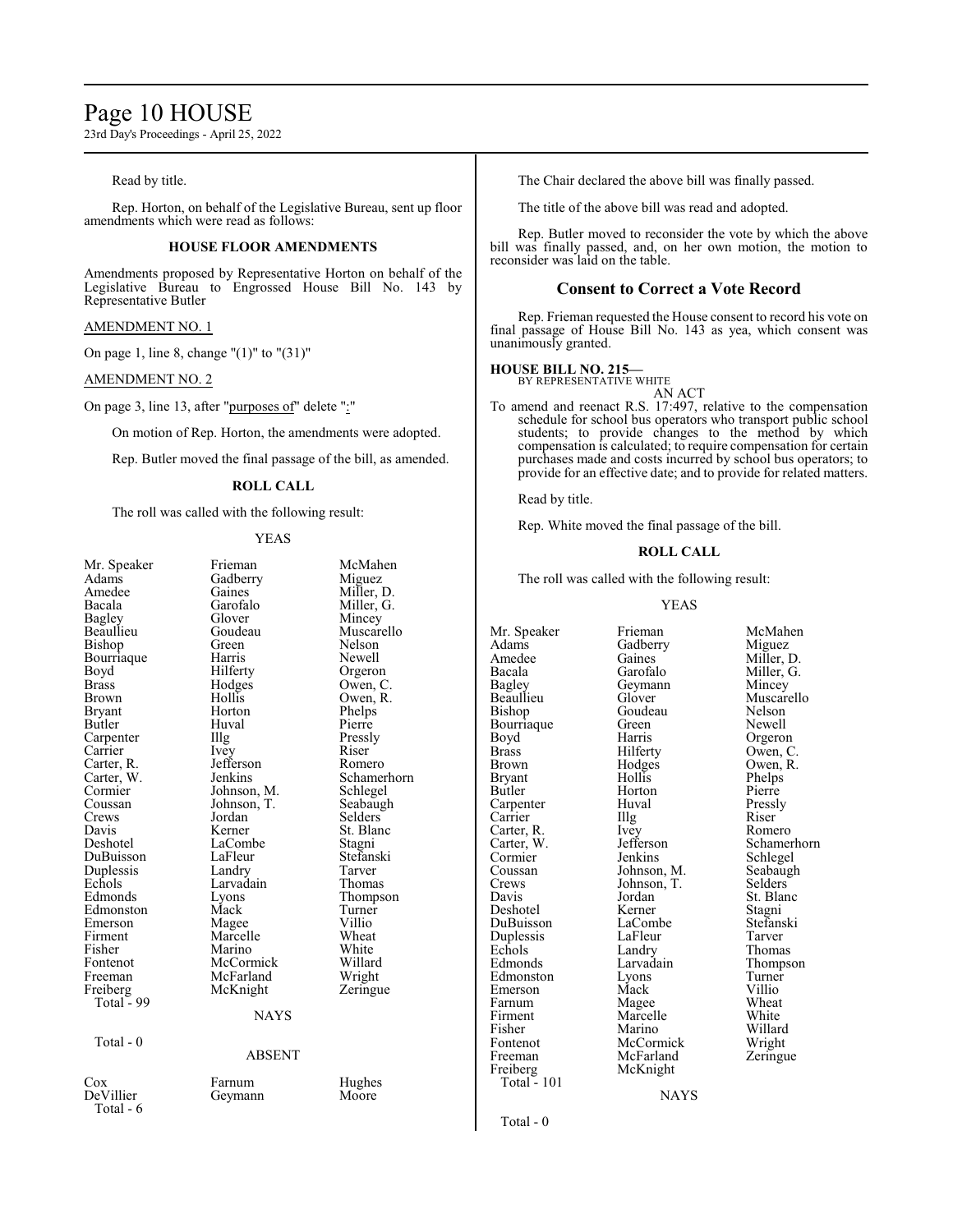# Page 10 HOUSE

23rd Day's Proceedings - April 25, 2022

### Read by title.

Rep. Horton, on behalf of the Legislative Bureau, sent up floor amendments which were read as follows:

# **HOUSE FLOOR AMENDMENTS**

Amendments proposed by Representative Horton on behalf of the Legislative Bureau to Engrossed House Bill No. 143 by Representative Butler

#### AMENDMENT NO. 1

On page 1, line 8, change "(1)" to "(31)"

#### AMENDMENT NO. 2

On page 3, line 13, after "purposes of" delete ":"

On motion of Rep. Horton, the amendments were adopted.

Rep. Butler moved the final passage of the bill, as amended.

# **ROLL CALL**

The roll was called with the following result:

# YEAS

| Mr. Speaker | Frieman       | McMahen     |
|-------------|---------------|-------------|
| Adams       | Gadberry      | Miguez      |
| Amedee      | Gaines        | Miller, D.  |
| Bacala      | Garofalo      | Miller, G.  |
| Bagley      | Glover        | Mincey      |
| Beaullieu   | Goudeau       | Muscarello  |
| Bishop      | Green         | Nelson      |
| Bourriaque  | Harris        | Newell      |
| Boyd        | Hilferty      | Orgeron     |
| Brass       | Hodges        | Owen, C.    |
| Brown       | Hollis        | Owen, R.    |
| Bryant      | Horton        | Phelps      |
| Butler      | Huval         | Pierre      |
| Carpenter   | Illg          | Pressly     |
| Carrier     | Ivey          | Riser       |
| Carter, R.  | Jefferson     | Romero      |
| Carter, W.  | Jenkins       | Schamerhorn |
| Cormier     | Johnson, M.   | Schlegel    |
| Coussan     | Johnson, T.   | Seabaugh    |
| Crews       | Jordan        | Selders     |
| Davis       | Kerner        | St. Blanc   |
| Deshotel    | LaCombe       | Stagni      |
| DuBuisson   | LaFleur       | Stefanski   |
| Duplessis   | Landry        | Tarver      |
| Echols      | Larvadain     | Thomas      |
| Edmonds     | Lyons         | Thompson    |
| Edmonston   | Mack          | Turner      |
| Emerson     | Magee         | Villio      |
| Firment     | Marcelle      | Wheat       |
| Fisher      | Marino        | White       |
| Fontenot    | McCormick     | Willard     |
| Freeman     | McFarland     | Wright      |
| Freiberg    | McKnight      | Zeringue    |
| Total - 99  |               |             |
|             | <b>NAYS</b>   |             |
|             |               |             |
| Total - 0   |               |             |
|             | <b>ABSENT</b> |             |
| $\cos$      | Farnum        | Hughes      |
| DeVillier   | Geymann       | Moore       |
| Total - 6   |               |             |
|             |               |             |
|             |               |             |

The Chair declared the above bill was finally passed.

The title of the above bill was read and adopted.

Rep. Butler moved to reconsider the vote by which the above bill was finally passed, and, on her own motion, the motion to reconsider was laid on the table.

# **Consent to Correct a Vote Record**

Rep. Frieman requested the House consent to record his vote on final passage of House Bill No. 143 as yea, which consent was unanimously granted.

# **HOUSE BILL NO. 215—**

BY REPRESENTATIVE WHITE AN ACT

To amend and reenact R.S. 17:497, relative to the compensation schedule for school bus operators who transport public school students; to provide changes to the method by which compensation is calculated; to require compensation for certain purchases made and costs incurred by school bus operators; to provide for an effective date; and to provide for related matters.

Read by title.

Rep. White moved the final passage of the bill.

#### **ROLL CALL**

The roll was called with the following result:

### YEAS

Adams Gadberry<br>Amedee Gaines Bagley Geymann<br>Beaullieu Glover Bourriaque Green<br>Boyd Harris Carter, R. Ivey<br>Carter, W. Jefferson Crews Johnson, T.<br>Davis Jordan Duplessis LaFleu<br>
Echols Landry Freeman McFarland<br>Freiberg McKnight Total - 101

Amedee Gaines Miller, D.<br>Bacala Garofalo Miller, G. Bacala Garofalo Miller, G. Bishop Goudeau Nelson<br>Bourriaque Green Newell Boyd Harris Orgeron<br>Brass Hilferty Owen, C Brass Hilferty Owen, C.<br>Brown Hodges Owen, R. Brown Hodges Owen, R.<br>Bryant Hollis Phelps Bryant Hollis Phelps<br>Butler Horton Pierre Horton Pierre<br>
Huval Pressly Carpenter Huval Pressl<br>Carrier Hulg Riser Carrier IIIg Riser<br>Carter, R. Ivev Romero Cormier Jenkins Schlegel<br>Coussan Johnson, M. Seabaugh Coussan Johnson, M. Seabaugh<br>Crews Johnson, T. Selders Jordan St. Blanc<br>Kerner Stagni Deshotel Kerner Stagni<br>DuBuisson LaCombe Stefanski LaCombe Stefans<br>LaFleur Tarver Echols Landry Thomas<br>Edmonds Larvadain Thomas Edmonston Lyons Turner<br>Emerson Mack Villio Emerson Mack Villio<br>
Farnum Magee Wheat Farnum Magee Wheat<br>Firment Marcelle White Firment Marcelle White<br>
Fisher Marino Willard Fisher Marino Willard<br>Fontenot McCormick Wright Fontenot McCormick Wright<br>
Freeman McFarland Zeringue McKnight NAYS

Mr. Speaker Frieman McMahen<br>Adams Gadberry Miguez Glover Muscarello<br>Goudeau Nelson Carter, W. Jefferson Schamerhorn<br>
Cormier Jenkins Schlegel Larvadain Thompson<br>Lyons Turner

Total - 0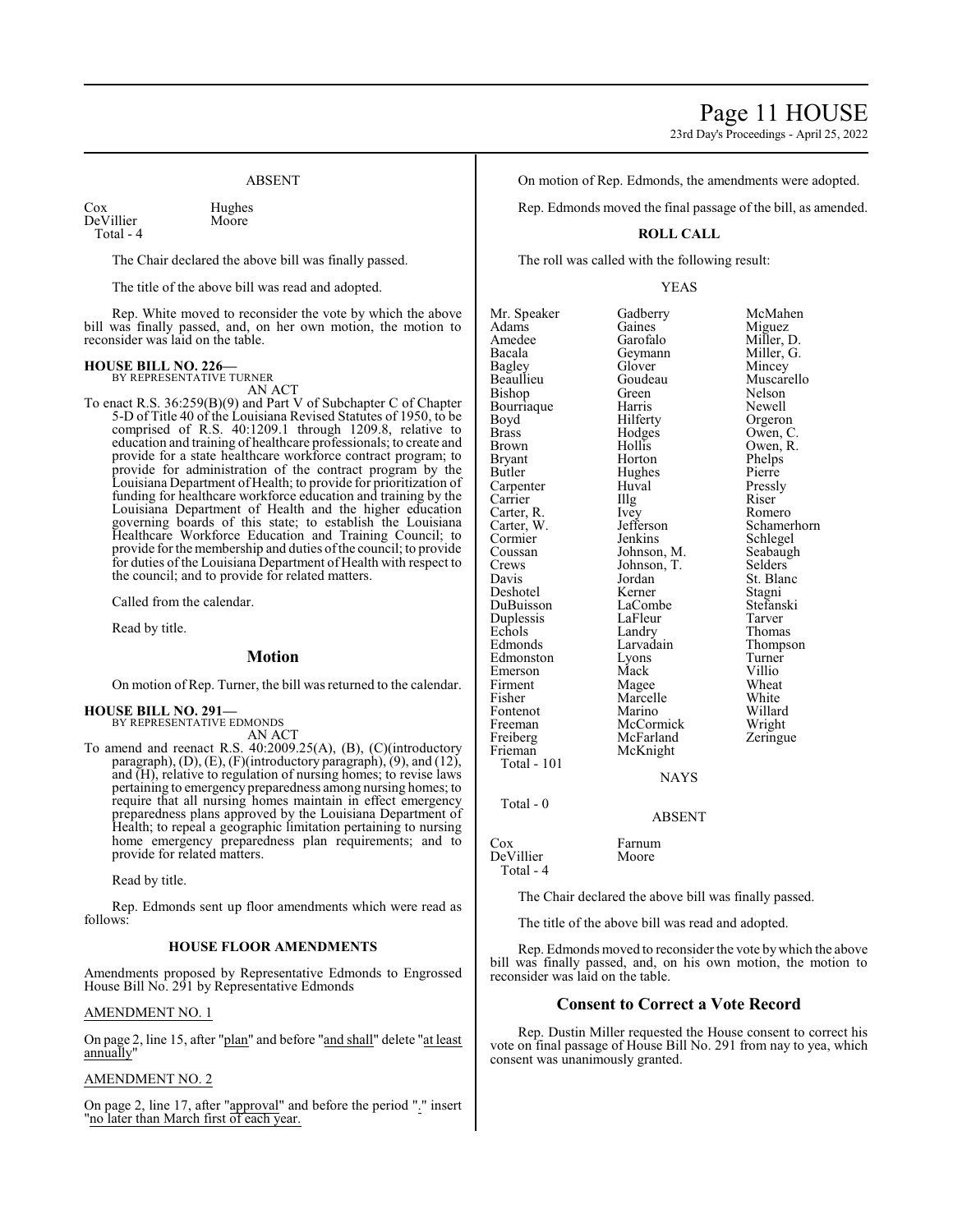23rd Day's Proceedings - April 25, 2022

# ABSENT

Cox Hughes<br>DeVillier Moore DeVillier Total - 4

The Chair declared the above bill was finally passed.

The title of the above bill was read and adopted.

Rep. White moved to reconsider the vote by which the above bill was finally passed, and, on her own motion, the motion to reconsider was laid on the table.

#### **HOUSE BILL NO. 226—** BY REPRESENTATIVE TURNER

AN ACT

To enact R.S. 36:259(B)(9) and Part V of Subchapter C of Chapter 5-D of Title 40 of the Louisiana Revised Statutes of 1950, to be comprised of R.S. 40:1209.1 through 1209.8, relative to education and training of healthcare professionals; to create and provide for a state healthcare workforce contract program; to provide for administration of the contract program by the Louisiana Department of Health; to provide for prioritization of funding for healthcare workforce education and training by the Louisiana Department of Health and the higher education governing boards of this state; to establish the Louisiana Healthcare Workforce Education and Training Council; to provide forthe membership and duties ofthe council; to provide for duties of the Louisiana Department of Health with respect to the council; and to provide for related matters.

Called from the calendar.

Read by title.

# **Motion**

On motion of Rep. Turner, the bill was returned to the calendar.

#### **HOUSE BILL NO. 291—** BY REPRESENTATIVE EDMONDS

AN ACT

To amend and reenact R.S. 40:2009.25(A), (B), (C)(introductory paragraph), (D), (E), (F)(introductory paragraph), (9), and (12), and (H), relative to regulation of nursing homes; to revise laws pertaining to emergency preparedness among nursing homes; to require that all nursing homes maintain in effect emergency preparedness plans approved by the Louisiana Department of Health; to repeal a geographic limitation pertaining to nursing home emergency preparedness plan requirements; and to provide for related matters.

Read by title.

Rep. Edmonds sent up floor amendments which were read as follows:

### **HOUSE FLOOR AMENDMENTS**

Amendments proposed by Representative Edmonds to Engrossed House Bill No. 291 by Representative Edmonds

#### AMENDMENT NO. 1

On page 2, line 15, after "plan" and before "and shall" delete "at least annually'

# AMENDMENT NO. 2

On page 2, line 17, after "approval" and before the period "." insert "no later than March first of each year.

On motion of Rep. Edmonds, the amendments were adopted.

Rep. Edmonds moved the final passage of the bill, as amended.

# **ROLL CALL**

The roll was called with the following result:

#### YEAS

Mr. Speaker Gadberry McMahen<br>Adams Gaines Miguez Adams Gaines Miguez Amedee Garofalo Miller, D.<br>Bacala Geymann Miller, G. Bacala Geymann<br>Bagley Glover Bagley Glover Mincey Bishop Green Nelson<br>Bourriaque Harris Newell Bourriaque Harris<br>Boyd Hilferty Boyd Hilferty Orgeron<br>Brass Hodges Owen, C Brass Hodges Owen, C. Brown Hollis Owen, R.<br>Bryant Horton Phelps Bryant Horton Phelps<br>Butler Hughes Pierre Carpenter Huval Pressl<br>Carrier Hugh Riser Carrier IIIg Riser<br>Carter, R. Ivey Romero Carter, R. Ivey Romero Carter, W. Jefferson Schamerhorn Cormier Jenkins Schlegel<br>Coussan Johnson, M. Seabaugh Coussan Johnson, M. Seabaugh<br>Crews Johnson, T. Selders Crews Johnson, T.<br>Davis Jordan Deshotel Kerner Stagni DuBuisson LaCombe Stefans<br>
Duplessis LaFleur Tarver Duplessis LaFleu<br>
Echols Landry Echols Landry Thomas<br>Edmonds Larvadain Thomps Edmonston Lyons Turner Firment Magee Wheat<br>Fisher Marcelle White Fontenot Marino Willard<br>Freeman McCormick Wright Freeman McCormick Wright<br>
Freiberg McFarland Zeringue Freiberg McFarland<br>Frieman McKnight

Goudeau Muscarello<br>Green Nelson Hughes Pierre<br>Huval Pressly Jordan St. Blanc<br>Kerner Stagni Thompson<br>Turner Eyons<br>
Mack Villio<br>
Mage Wheat Marcelle White<br>
Marino Willard

# Total - 0

Total - 101

Cox Farnum<br>DeVillier Moore DeVillier Total - 4

The Chair declared the above bill was finally passed.

**NAYS** 

ABSENT

The title of the above bill was read and adopted.

McKnight

Rep. Edmonds moved to reconsider the vote bywhich the above bill was finally passed, and, on his own motion, the motion to reconsider was laid on the table.

### **Consent to Correct a Vote Record**

Rep. Dustin Miller requested the House consent to correct his vote on final passage of House Bill No. 291 from nay to yea, which consent was unanimously granted.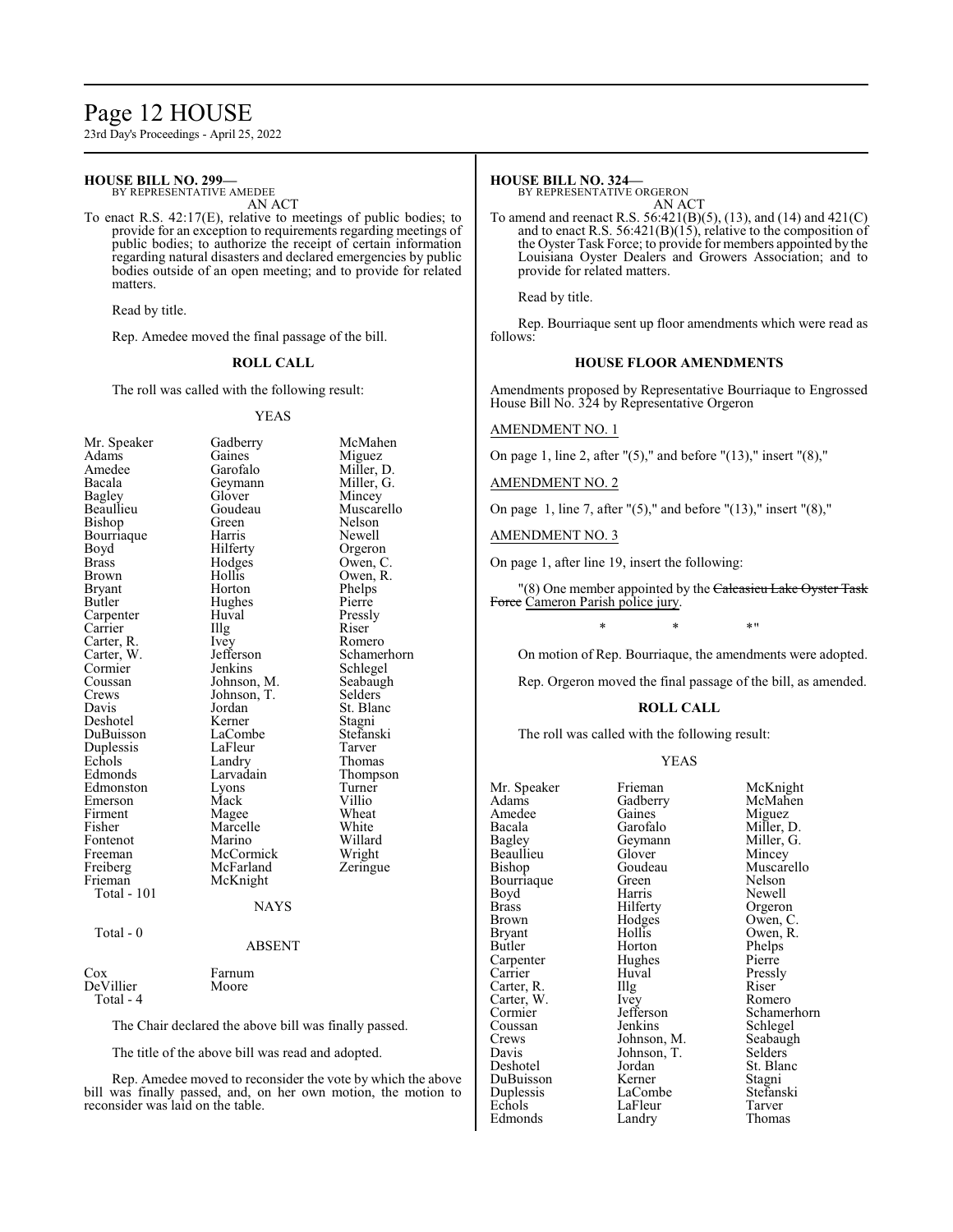# Page 12 HOUSE

23rd Day's Proceedings - April 25, 2022

#### **HOUSE BILL NO. 299—** BY REPRESENTATIVE AMEDEE

AN ACT

To enact R.S. 42:17(E), relative to meetings of public bodies; to provide for an exception to requirements regarding meetings of public bodies; to authorize the receipt of certain information regarding natural disasters and declared emergencies by public bodies outside of an open meeting; and to provide for related matters.

Read by title.

Rep. Amedee moved the final passage of the bill.

# **ROLL CALL**

The roll was called with the following result:

#### YEAS

Miguez Miller, D. Miller, G. Mincey Muscarello Nelson Newell Orgeron Owen, C. Owen, R. Phelps Pierre Pressly<br>Riser

R<sub>omero</sub> Schamerhorn Schlegel Seabaugh Selders<sup>'</sup> St. Blanc Stagni Stefanski Tarver Thomas Thompson Turner<br>Villio

| Mr. Speaker<br>Adams | Gadberry<br>Gaines         | McMahen              |
|----------------------|----------------------------|----------------------|
| Amedee               | Garofalo                   | Miguez<br>Miller, D. |
| Bacala               |                            | Miller, G.           |
|                      | Geymann<br>Glover          |                      |
| Bagley<br>Beaullieu  | Goudeau                    | Mincey<br>Muscarelle |
|                      | Green                      | Nelson               |
| Bishop               | Harris                     | Newell               |
| Bourriaque           |                            |                      |
| Boyd                 | Hilferty                   | Orgeron              |
| <b>Brass</b>         | Hodges<br>Hollis           | Owen, C.             |
| Brown                |                            | Owen, R.             |
| Bryant               | Horton                     | Phelps               |
| Butler               | Hughes                     | Pierre               |
| Carpenter            | Huval                      | Pressly              |
| Carrier              | Illg                       | Riser                |
| Carter, R.           | Ivey                       | Romero               |
| Carter, W.           | Jefferson                  | Schamerho            |
| Cormier              | Jenkins                    | Schlegel             |
| Coussan              | Johnson, M.                | Seabaugh             |
| Crews                | Johnson, T.                | Selders              |
| Davis                | Jordan                     | St. Blanc            |
| Deshotel             | Kerner                     | Stagni               |
| DuBuisson            | LaCombe                    | Stefanski            |
| Duplessis            | LaFleur                    | Tarver               |
| Echols               | Landry                     | Thomas               |
| Edmonds              | Larvadain                  | Thompson             |
| Edmonston            | Lyons                      | Turner               |
| Emerson              | Mack                       | Villio               |
| Firment              | Magee                      | Wheat                |
| Fisher               | Marcelle                   | White                |
| Fontenot             | Marino                     | Willard              |
| Freeman              | McCormick                  | Wright               |
| Freiberg             | McFarland                  | Zeringue             |
| Frieman              | McKnight                   |                      |
| Total - 101          |                            |                      |
|                      | <b>NAYS</b>                |                      |
| Total - 0            |                            |                      |
|                      | $\lambda$ DOD $\lambda$ IT |                      |

#### ABSENT

| Cox       | Farnum |
|-----------|--------|
| DeVillier | Moore  |
| Total - 4 |        |

The Chair declared the above bill was finally passed.

The title of the above bill was read and adopted.

Rep. Amedee moved to reconsider the vote by which the above bill was finally passed, and, on her own motion, the motion to reconsider was laid on the table.

# **HOUSE BILL NO. 324—**

BY REPRESENTATIVE ORGERON AN ACT

To amend and reenact R.S. 56:421(B)(5), (13), and (14) and 421(C) and to enact R.S. 56:421(B)(15), relative to the composition of the Oyster Task Force; to provide for members appointed by the Louisiana Oyster Dealers and Growers Association; and to provide for related matters.

Read by title.

Rep. Bourriaque sent up floor amendments which were read as follows:

# **HOUSE FLOOR AMENDMENTS**

Amendments proposed by Representative Bourriaque to Engrossed House Bill No. 324 by Representative Orgeron

#### AMENDMENT NO. 1

On page 1, line 2, after " $(5)$ ," and before " $(13)$ ," insert " $(8)$ ,"

AMENDMENT NO. 2

On page 1, line 7, after "(5)," and before "(13)," insert "(8),"

# AMENDMENT NO. 3

On page 1, after line 19, insert the following:

"(8) One member appointed by the Calcasieu Lake Oyster Task Force Cameron Parish police jury.

 $*$  \*  $*$  \*

On motion of Rep. Bourriaque, the amendments were adopted.

Rep. Orgeron moved the final passage of the bill, as amended.

#### **ROLL CALL**

The roll was called with the following result:

#### YEAS

| Mr. Speaker | Frieman     | McK         |
|-------------|-------------|-------------|
| Adams       | Gadberry    | McM         |
| Amedee      | Gaines      | Migu        |
| Bacala      | Garofalo    | Mille       |
| Bagley      | Geymann     | Mille       |
| Beaullieu   | Glover      | Minc        |
| Bishop      | Goudeau     | Musc        |
| Bourriaque  | Green       | Nelso       |
| Boyd        | Harris      | <b>Newe</b> |
| Brass       | Hilferty    | Orge:       |
| Brown       | Hodges      | Ower        |
| Bryant      | Hollis      | Ower        |
| Butler      | Horton      | Phelp       |
| Carpenter   | Hughes      | Pierr       |
| Carrier     | Huval       | Press       |
| Carter, R.  | Illg        | Riser       |
| Carter, W.  | Ivey        | Rom         |
| Cormier     | Jefferson   | Schai       |
| Coussan     | Jenkins     | Schle       |
| Crews       | Johnson, M. | Seab        |
| Davis       | Johnson, T. | Selde       |
| Deshotel    | Jordan      | St. B       |
| DuBuisson   | Kerner      | Stagr       |
| Duplessis   | LaCombe     | Stefa       |
| Echols      | LaFleur     | Tarve       |
| Edmonds     | Landry      | Thon        |

Frieman McKnight<br>Frieman McMahen Fadberry McMahen<br>Faines Miguez <sup>G</sup>aines Miguez<br>Garofalo Miller. 1 Bacala Garofalo Miller, D. Beymann Miller, G.<br>Blover Mincey Flover Mincey<br>Foudeau Muscar Muscarello Breen Nelson<br>Bourris Newell Iarris Newell<br>Iilferty Orgeror Iilferty Orgeron<br>Iodges Owen, C Fodges Owen, C.<br>Follis Owen, R Iollis Owen, R.<br>Iorton Phelps Phelps<br>Pierre Iuval Pressly<br>Ilg Riser Carter, W. Ivey Romero efferson Schamerhorn<br>
enkins Schlegel enkins<br>
ohnson, M. Seabaugl Seabaugh<br>Selders ordan St. Blanc<br>Cerner Stagni Lerner Stagni<br>Combe Stefan: Stefanski<br>Tarver aFleur Tarver.<br>Thomas Thomas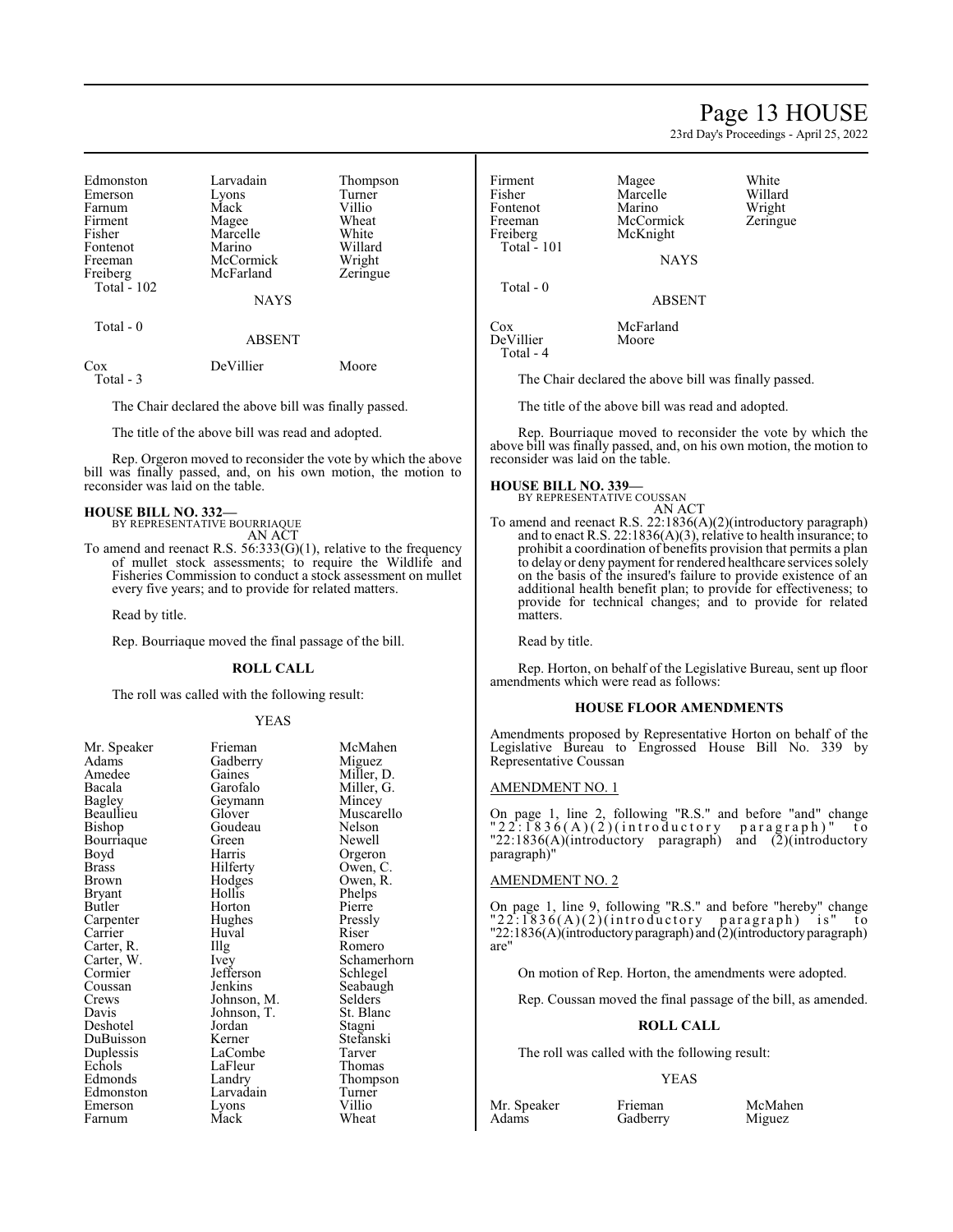# Page 13 HOUSE

23rd Day's Proceedings - April 25, 2022

| Edmonston          | Larvadain   | Thompson |
|--------------------|-------------|----------|
| Emerson            | Lyons       | Turner   |
| Farnum             | Mack        | Villio   |
| Firment            | Magee       | Wheat    |
| Fisher             | Marcelle    | White    |
| Fontenot           | Marino      | Willard  |
| Freeman            | McCormick   | Wright   |
| Freiberg           | McFarland   | Zeringue |
| <b>Total - 102</b> |             |          |
|                    | <b>NAYS</b> |          |

# Total - 0 ABSENT

Cox DeVillier Moore Total - 3

The Chair declared the above bill was finally passed.

The title of the above bill was read and adopted.

Rep. Orgeron moved to reconsider the vote by which the above bill was finally passed, and, on his own motion, the motion to reconsider was laid on the table.

#### **HOUSE BILL NO. 332—** BY REPRESENTATIVE BOURRIAQUE

AN ACT

To amend and reenact R.S. 56:333(G)(1), relative to the frequency of mullet stock assessments; to require the Wildlife and Fisheries Commission to conduct a stock assessment on mullet every five years; and to provide for related matters.

Read by title.

Rep. Bourriaque moved the final passage of the bill.

# **ROLL CALL**

The roll was called with the following result:

# YEAS

| Mr. Speaker | Frieman     | McMahen    |
|-------------|-------------|------------|
| Adams       | Gadberry    | Miguez     |
| Amedee      | Gaines      | Miller, D. |
| Bacala      | Garofalo    | Miller, G. |
| Bagley      | Geymann     | Mincey     |
| Beaullieu   | Glover      | Muscarello |
| Bishop      | Goudeau     | Nelson     |
| Bourriaque  | Green       | Newell     |
| Boyd        | Harris      | Orgeron    |
| Brass       | Hilferty    | Owen, C.   |
| Brown       | Hodges      | Owen, R.   |
| Bryant      | Hollis      | Phelps     |
| Butler      | Horton      | Pierre     |
| Carpenter   | Hughes      | Pressly    |
| Carrier     | Huval       | Riser      |
| Carter, R.  | Illg        | Romero     |
| Carter, W.  | Ivey        | Schamerho  |
| Cormier     | Jefferson   | Schlegel   |
| Coussan     | Jenkins     | Seabaugh   |
| Crews       | Johnson, M. | Selders    |
| Davis       | Johnson, T. | St. Blanc  |
| Deshotel    | Jordan      | Stagni     |
| DuBuisson   | Kerner      | Stefanski  |
| Duplessis   | LaCombe     | Tarver     |
| Echols      | LaFleur     | Thomas     |
| Edmonds     | Landry      | Thompson   |
| Edmonston   | Larvadain   | Turner     |
| Emerson     | Lyons       | Villio     |
| Farnum      | Mack        | Wheat      |

Miller, G.<br>Mincey Muscarello<br>Nelson Pierre<br>Pressly Schamerhorn<br>Schlegel Seabaugh<br>Selders Stefanski<br>Tarver Thompson<br>Turner

Freeman McCormick<br>Freiberg McKnight Total  $-101$ 

Total - 0

DeVillier Total - 4

Firment Magee White<br>
Fisher Marcelle Willard Marcelle Willard<br>
Marino Wright Fontenot Marino Wright<br>
Freeman McCormick Zeringue McKnight

NAYS

ABSENT

Cox McFarland<br>DeVillier Moore

The Chair declared the above bill was finally passed.

The title of the above bill was read and adopted.

Rep. Bourriaque moved to reconsider the vote by which the above bill was finally passed, and, on his own motion, the motion to reconsider was laid on the table.

#### **HOUSE BILL NO. 339—**

BY REPRESENTATIVE COUSSAN AN ACT

To amend and reenact R.S. 22:1836(A)(2)(introductory paragraph) and to enact R.S. 22:1836(A)(3), relative to health insurance; to prohibit a coordination of benefits provision that permits a plan to delay or deny payment for rendered healthcare services solely on the basis of the insured's failure to provide existence of an additional health benefit plan; to provide for effectiveness; to provide for technical changes; and to provide for related matters.

Read by title.

Rep. Horton, on behalf of the Legislative Bureau, sent up floor amendments which were read as follows:

#### **HOUSE FLOOR AMENDMENTS**

Amendments proposed by Representative Horton on behalf of the Legislative Bureau to Engrossed House Bill No. 339 by Representative Coussan

#### AMENDMENT NO. 1

On page 1, line 2, following "R.S." and before "and" change  $"22$ :  $1836(A)(2)$  (introductory paragraph)" to "22:1836(A)(introductory paragraph) and (2)(introductory paragraph)"

# AMENDMENT NO. 2

On page 1, line 9, following "R.S." and before "hereby" change  $"22:1836(A)(2)(introducing order to be a graph)$  is" to "22:1836(A)(introductoryparagraph) and (2)(introductoryparagraph) are"

On motion of Rep. Horton, the amendments were adopted.

Rep. Coussan moved the final passage of the bill, as amended.

# **ROLL CALL**

The roll was called with the following result:

Gadberry

# YEAS

Mr. Speaker Frieman McMahen<br>Adams Gadberry Miguez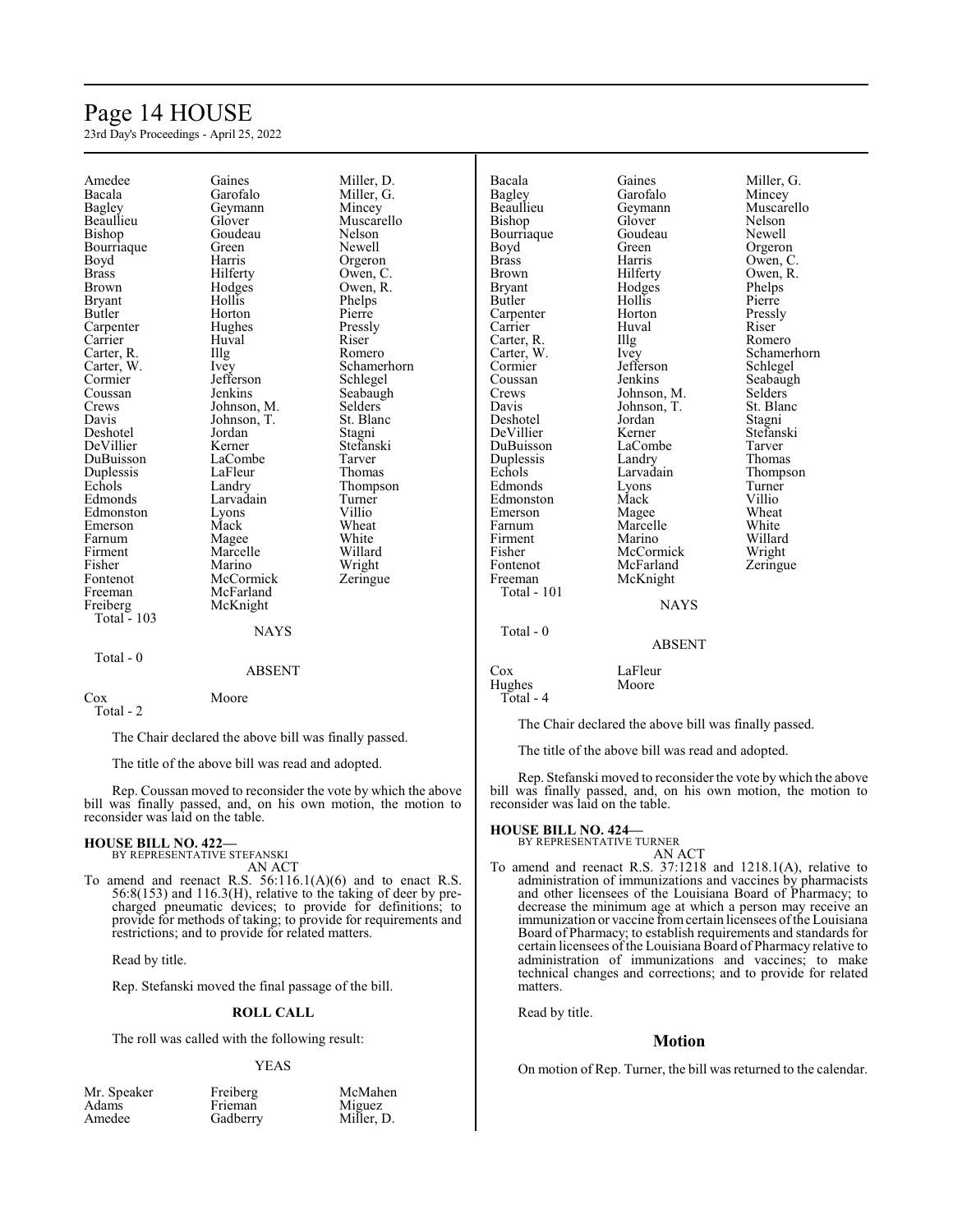# Page 14 HOUSE

23rd Day's Proceedings - April 25, 2022

| Amedee                  | Gaines        | Miller, D.     | Bacala                  | Gaines        | Miller, G.       |
|-------------------------|---------------|----------------|-------------------------|---------------|------------------|
| Bacala                  | Garofalo      | Miller, G.     | <b>Bagley</b>           | Garofalo      | Mincey           |
| <b>Bagley</b>           | Geymann       | Mincey         | Beaullieu               | Geymann       | Muscarello       |
| Beaullieu               | Glover        | Muscarello     | Bishop                  | Glover        | Nelson           |
| Bishop                  | Goudeau       | Nelson         | Bourriaque              | Goudeau       | Newell           |
| Bourriaque              | Green         | Newell         | Boyd                    | Green         | Orgeron          |
| Boyd                    | Harris        | Orgeron        | <b>Brass</b>            | Harris        | Owen, C.         |
| <b>Brass</b>            | Hilferty      | Owen, C.       | <b>Brown</b>            | Hilferty      | Owen, R.         |
| <b>Brown</b>            | Hodges        | Owen, R.       |                         | Hodges        |                  |
|                         | Hollis        |                | <b>Bryant</b><br>Butler | Hollis        | Phelps<br>Pierre |
| <b>Bryant</b><br>Butler |               | Phelps         |                         | Horton        |                  |
|                         | Horton        | Pierre         | Carpenter               | Huval         | Pressly          |
| Carpenter               | Hughes        | Pressly        | Carrier                 |               | Riser            |
| Carrier                 | Huval         | Riser          | Carter, R.              | Illg          | Romero           |
| Carter, R.              | Illg          | Romero         | Carter, W.              | Ivey          | Schamerhorn      |
| Carter, W.              | Ivey          | Schamerhorn    | Cormier                 | Jefferson     | Schlegel         |
| Cormier                 | Jefferson     | Schlegel       | Coussan                 | Jenkins       | Seabaugh         |
| Coussan                 | Jenkins       | Seabaugh       | Crews                   | Johnson, M.   | Selders          |
| Crews                   | Johnson, M.   | <b>Selders</b> | Davis                   | Johnson, T.   | St. Blanc        |
| Davis                   | Johnson, T.   | St. Blanc      | Deshotel                | Jordan        | Stagni           |
| Deshotel                | Jordan        | Stagni         | DeVillier               | Kerner        | Stefanski        |
| DeVillier               | Kerner        | Stefanski      | DuBuisson               | LaCombe       | Tarver           |
| DuBuisson               | LaCombe       | Tarver         | Duplessis               | Landry        | Thomas           |
| Duplessis               | LaFleur       | Thomas         | Echols                  | Larvadain     | Thompson         |
| Echols                  | Landry        | Thompson       | Edmonds                 | Lyons         | Turner           |
| Edmonds                 | Larvadain     | Turner         | Edmonston               | Mack          | Villio           |
| Edmonston               | Lyons         | Villio         | Emerson                 | Magee         | Wheat            |
| Emerson                 | Mack          | Wheat          | Farnum                  | Marcelle      | White            |
| Farnum                  | Magee         | White          | Firment                 | Marino        | Willard          |
| Firment                 | Marcelle      | Willard        | Fisher                  | McCormick     | Wright           |
| Fisher                  | Marino        | Wright         | Fontenot                | McFarland     | Zeringue         |
| Fontenot                | McCormick     | Zeringue       | Freeman                 | McKnight      |                  |
| Freeman                 | McFarland     |                | <b>Total - 101</b>      |               |                  |
| Freiberg                | McKnight      |                |                         | <b>NAYS</b>   |                  |
| <b>Total - 103</b>      |               |                |                         |               |                  |
|                         | <b>NAYS</b>   |                | Total - 0               |               |                  |
|                         |               |                |                         | <b>ABSENT</b> |                  |
| Total - 0               |               |                |                         |               |                  |
|                         | <b>ABSENT</b> |                | Cox                     | LaFleur       |                  |
|                         |               |                | Hughes                  | Moore         |                  |
| Cox                     | Moore         |                | Total - 4               |               |                  |

Total - 2

The Chair declared the above bill was finally passed.

The title of the above bill was read and adopted.

Rep. Coussan moved to reconsider the vote by which the above bill was finally passed, and, on his own motion, the motion to reconsider was laid on the table.

# **HOUSE BILL NO. 422—** BY REPRESENTATIVE STEFANSKI

AN ACT To amend and reenact R.S. 56:116.1(A)(6) and to enact R.S. 56:8(153) and 116.3(H), relative to the taking of deer by precharged pneumatic devices; to provide for definitions; to provide for methods of taking; to provide for requirements and restrictions; and to provide for related matters.

Read by title.

Rep. Stefanski moved the final passage of the bill.

# **ROLL CALL**

The roll was called with the following result:

# YEAS

| Mr. Speaker | Freiberg | McMahen    |
|-------------|----------|------------|
| Adams       | Frieman  | Miguez     |
| Amedee      | Gadberry | Miller, D. |

The Chair declared the above bill was finally passed.

The title of the above bill was read and adopted.

Rep. Stefanski moved to reconsider the vote by which the above bill was finally passed, and, on his own motion, the motion to reconsider was laid on the table.

# **HOUSE BILL NO. 424—** BY REPRESENTATIVE TURNER

AN ACT To amend and reenact R.S. 37:1218 and 1218.1(A), relative to administration of immunizations and vaccines by pharmacists and other licensees of the Louisiana Board of Pharmacy; to decrease the minimum age at which a person may receive an immunization or vaccine from certain licensees of the Louisiana Board of Pharmacy; to establish requirements and standards for certain licensees of the Louisiana Board of Pharmacy relative to administration of immunizations and vaccines; to make technical changes and corrections; and to provide for related matters.

Read by title.

# **Motion**

On motion of Rep. Turner, the bill was returned to the calendar.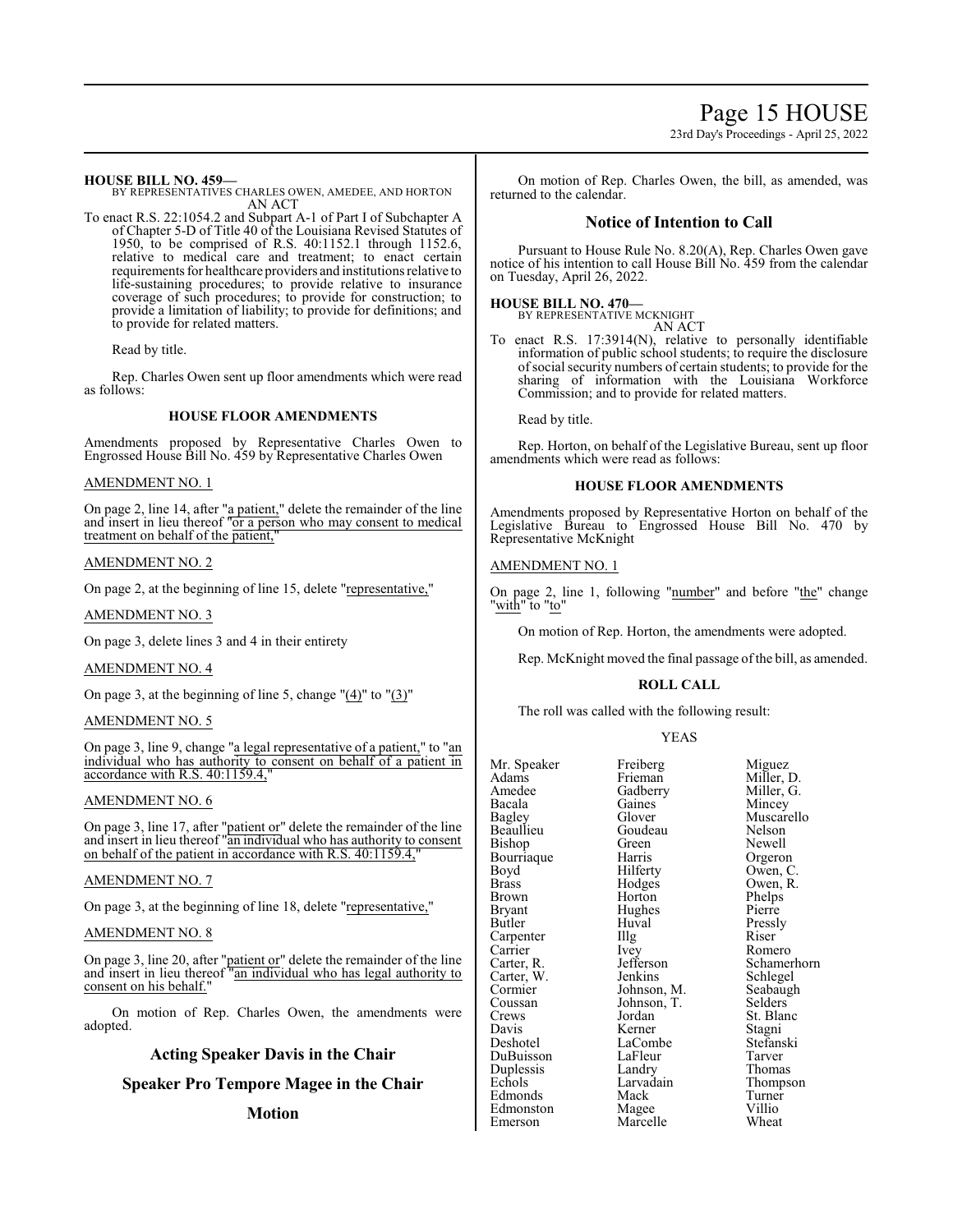**HOUSE BILL NO. 459—**

BY REPRESENTATIVES CHARLES OWEN, AMEDEE, AND HORTON AN ACT

To enact R.S. 22:1054.2 and Subpart A-1 of Part I of Subchapter A of Chapter 5-D of Title 40 of the Louisiana Revised Statutes of 1950, to be comprised of R.S. 40:1152.1 through 1152.6, relative to medical care and treatment; to enact certain requirements for healthcare providers and institutions relative to life-sustaining procedures; to provide relative to insurance coverage of such procedures; to provide for construction; to provide a limitation of liability; to provide for definitions; and to provide for related matters.

Read by title.

Rep. Charles Owen sent up floor amendments which were read as follows:

# **HOUSE FLOOR AMENDMENTS**

Amendments proposed by Representative Charles Owen to Engrossed House Bill No. 459 by Representative Charles Owen

# AMENDMENT NO. 1

On page 2, line 14, after "a patient," delete the remainder of the line and insert in lieu thereof "or a person who may consent to medical treatment on behalf of the patient,

# AMENDMENT NO. 2

On page 2, at the beginning of line 15, delete "representative,"

AMENDMENT NO. 3

On page 3, delete lines 3 and 4 in their entirety

# AMENDMENT NO. 4

On page 3, at the beginning of line 5, change "(4)" to "(3)"

# AMENDMENT NO. 5

On page 3, line 9, change "a legal representative of a patient," to "an individual who has authority to consent on behalf of a patient in accordance with R.S. 40:1159.4,"

# AMENDMENT NO. 6

On page 3, line 17, after "patient or" delete the remainder of the line and insert in lieu thereof "an individual who has authority to consent on behalf of the patient in accordance with R.S. 40:1159.4,

# AMENDMENT NO. 7

On page 3, at the beginning of line 18, delete "representative,"

# AMENDMENT NO. 8

On page 3, line 20, after "patient or" delete the remainder of the line and insert in lieu thereof "an individual who has legal authority to consent on his behalf."

On motion of Rep. Charles Owen, the amendments were adopted.

# **Acting Speaker Davis in the Chair**

**Speaker Pro Tempore Magee in the Chair**

# **Motion**

On motion of Rep. Charles Owen, the bill, as amended, was returned to the calendar.

# **Notice of Intention to Call**

Pursuant to House Rule No. 8.20(A), Rep. Charles Owen gave notice of his intention to call House Bill No. 459 from the calendar on Tuesday, April 26, 2022.

# **HOUSE BILL NO. 470—** BY REPRESENTATIVE MCKNIGHT

AN ACT

To enact R.S. 17:3914(N), relative to personally identifiable information of public school students; to require the disclosure ofsocial security numbers of certain students; to provide for the sharing of information with the Louisiana Workforce Commission; and to provide for related matters.

Read by title.

Rep. Horton, on behalf of the Legislative Bureau, sent up floor amendments which were read as follows:

# **HOUSE FLOOR AMENDMENTS**

Amendments proposed by Representative Horton on behalf of the Legislative Bureau to Engrossed House Bill No. 470 by Representative McKnight

# AMENDMENT NO. 1

On page 2, line 1, following "number" and before "the" change "<u>with</u>" to "<u>to</u>"

On motion of Rep. Horton, the amendments were adopted.

Rep. McKnight moved the final passage of the bill, as amended.

# **ROLL CALL**

The roll was called with the following result:

# YEAS

| Mr. Speaker  | Freiberg    | Migu             |
|--------------|-------------|------------------|
| Adams        | Frieman     | Miller           |
| Amedee       | Gadberry    | Miller           |
| Bacala       | Gaines      | Mince            |
| Bagley       | Glover      | Musca            |
| Beaullieu    | Goudeau     | Nelso            |
| Bishop       | Green       | Newe             |
| Bourriaque   | Harris      | Orger            |
| Boyd         | Hilferty    | Owen             |
| <b>Brass</b> | Hodges      | Owen             |
| Brown        | Horton      | Phelp            |
| Bryant       | Hughes      | Pierre           |
| Butler       | Huval       | Pressl           |
| Carpenter    | Illg        | Riser            |
| Carrier      | Ivey        | Rome             |
| Carter, R.   | Jefferson   | Schan            |
| Carter, W.   | Jenkins     | Schle            |
| Cormier      | Johnson, M. | Seaba            |
| Coussan      | Johnson, T. | Seldei           |
| Crews        | Jordan      | St. Bl           |
| Davis        | Kerner      | Stagn            |
| Deshotel     | LaCombe     | Stefar           |
| DuBuisson    | LaFleur     | Tarve            |
| Duplessis    | Landry      | Thom             |
| Echols       | Larvadain   | Thom             |
| Edmonds      | Mack        | Turne            |
| Edmonston    | Magee       | Villio           |
| Emarcon      | Morcello    | W <sub>han</sub> |

reiberg Miguez<br>Tieman Miller I rieman Miller, D.<br>Frieman Miller, G. adberry Miller, G.<br>aines Mincev Baines Mincey<br>Blover Muscare Muscarello<br>Nelson Freen Newell<br>Iarris Orgero External Series Creation Contractors Creative Contractors Contractors Contractors Contractors Contractors Contr<br>
Bourge Contractors Contractors Contractors Contractors Contractors Contractors Contractors Contractors Contra Filferty Owen, C.<br>
Rodges Owen, R. Forten Brass Coven, R.<br>Sorten Phelps Phelps<br>Pierre Pressly<br>Riser vey Romero<br>efferson Schamer efferson Schamerhorn<br>
enkins Schlegel Schlegel<br>Seabaugh bhnson, M. Seabaughnson, T. Seabaughnson, T. ordan St. Blanc<br>Cerner Stagni erner Stagni<br>aCombe Stefan: Stefanski<br>Tarver andry Thomas<br>arvadain Thomps arvadain Thompson<br>Iack Turner lack Turner<br>Iagee Villio Marcelle Wheat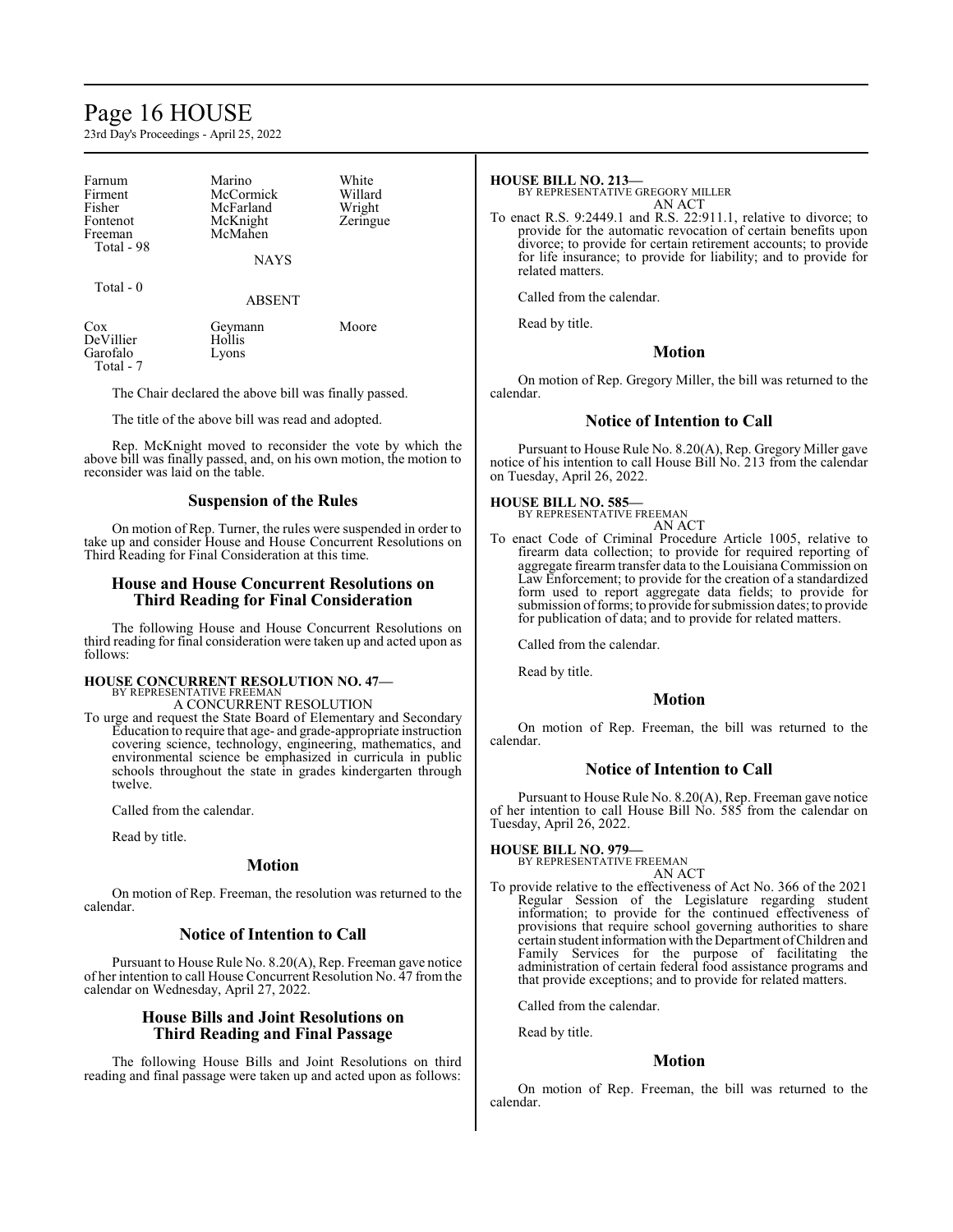# Page 16 HOUSE

23rd Day's Proceedings - April 25, 2022

| Farnum<br>Firment<br>Fisher<br>Fontenot<br>Freeman<br>Total - 98 | Marino<br>McCormick<br>McFarland<br>McKnight<br>McMahen<br><b>NAYS</b> | White<br>Willard<br>Wright<br>Zeringue |
|------------------------------------------------------------------|------------------------------------------------------------------------|----------------------------------------|
| Total $-0$                                                       | <b>ABSENT</b>                                                          |                                        |
| $\cos$<br>DeVillier<br>Garofalo<br>$Total - 7$                   | Geymann<br>Hollis<br>Lyons                                             | Moore                                  |

The Chair declared the above bill was finally passed.

The title of the above bill was read and adopted.

Rep. McKnight moved to reconsider the vote by which the above bill was finally passed, and, on his own motion, the motion to reconsider was laid on the table.

# **Suspension of the Rules**

On motion of Rep. Turner, the rules were suspended in order to take up and consider House and House Concurrent Resolutions on Third Reading for Final Consideration at this time.

# **House and House Concurrent Resolutions on Third Reading for Final Consideration**

The following House and House Concurrent Resolutions on third reading for final consideration were taken up and acted upon as follows:

#### **HOUSE CONCURRENT RESOLUTION NO. 47—** BY REPRESENTATIVE FREEMAN

A CONCURRENT RESOLUTION

To urge and request the State Board of Elementary and Secondary Education to require that age- and grade-appropriate instruction covering science, technology, engineering, mathematics, and environmental science be emphasized in curricula in public schools throughout the state in grades kindergarten through twelve.

Called from the calendar.

Read by title.

# **Motion**

On motion of Rep. Freeman, the resolution was returned to the calendar.

# **Notice of Intention to Call**

Pursuant to House Rule No. 8.20(A), Rep. Freeman gave notice of her intention to call House Concurrent Resolution No. 47 from the calendar on Wednesday, April 27, 2022.

# **House Bills and Joint Resolutions on Third Reading and Final Passage**

The following House Bills and Joint Resolutions on third reading and final passage were taken up and acted upon as follows:

# **HOUSE BILL NO. 213—**

BY REPRESENTATIVE GREGORY MILLER AN ACT

To enact R.S. 9:2449.1 and R.S. 22:911.1, relative to divorce; to provide for the automatic revocation of certain benefits upon divorce; to provide for certain retirement accounts; to provide for life insurance; to provide for liability; and to provide for related matters.

Called from the calendar.

Read by title.

# **Motion**

On motion of Rep. Gregory Miller, the bill was returned to the calendar.

# **Notice of Intention to Call**

Pursuant to House Rule No. 8.20(A), Rep. Gregory Miller gave notice of his intention to call House Bill No. 213 from the calendar on Tuesday, April 26, 2022.

# **HOUSE BILL NO. 585—** BY REPRESENTATIVE FREEMAN

AN ACT

To enact Code of Criminal Procedure Article 1005, relative to firearm data collection; to provide for required reporting of aggregate firearm transfer data to the Louisiana Commission on Law Enforcement; to provide for the creation of a standardized form used to report aggregate data fields; to provide for submission of forms; to provide for submission dates; to provide for publication of data; and to provide for related matters.

Called from the calendar.

Read by title.

# **Motion**

On motion of Rep. Freeman, the bill was returned to the calendar.

# **Notice of Intention to Call**

Pursuant to House Rule No. 8.20(A), Rep. Freeman gave notice of her intention to call House Bill No. 585 from the calendar on Tuesday, April 26, 2022.

# **HOUSE BILL NO. 979—**

BY REPRESENTATIVE FREEMAN AN ACT

To provide relative to the effectiveness of Act No. 366 of the 2021 Regular Session of the Legislature regarding student information; to provide for the continued effectiveness of provisions that require school governing authorities to share certain student information with the Department ofChildren and Family Services for the purpose of facilitating the administration of certain federal food assistance programs and that provide exceptions; and to provide for related matters.

Called from the calendar.

Read by title.

# **Motion**

On motion of Rep. Freeman, the bill was returned to the calendar.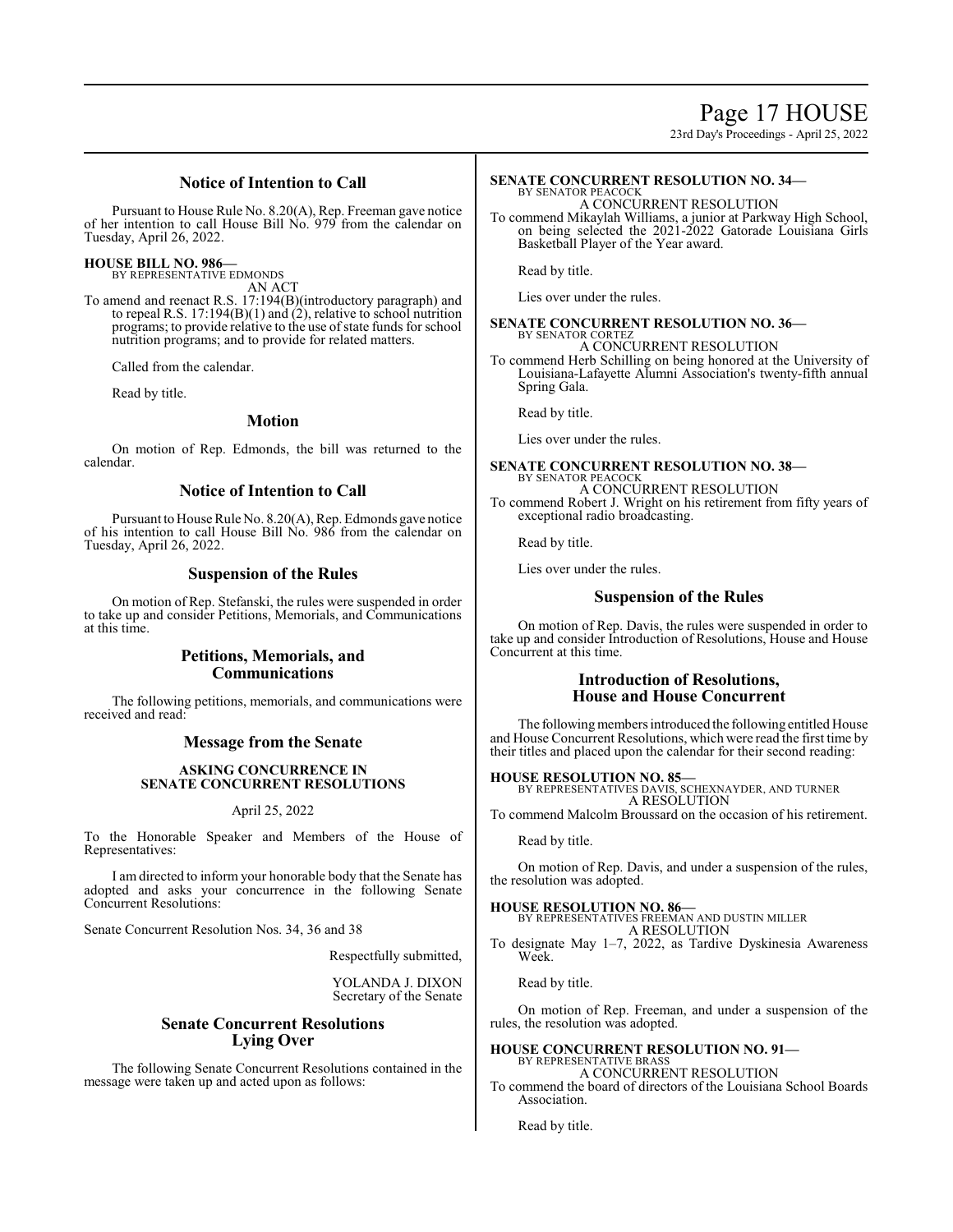23rd Day's Proceedings - April 25, 2022

# **Notice of Intention to Call**

Pursuant to House Rule No. 8.20(A), Rep. Freeman gave notice of her intention to call House Bill No. 979 from the calendar on Tuesday, April 26, 2022.

**HOUSE BILL NO. 986—**

BY REPRESENTATIVE EDMONDS AN ACT

To amend and reenact R.S. 17:194(B)(introductory paragraph) and to repeal R.S. 17:194(B)(1) and (2), relative to school nutrition programs; to provide relative to the use of state funds for school nutrition programs; and to provide for related matters.

Called from the calendar.

Read by title.

# **Motion**

On motion of Rep. Edmonds, the bill was returned to the calendar.

# **Notice of Intention to Call**

Pursuant to House Rule No. 8.20(A), Rep. Edmonds gave notice of his intention to call House Bill No. 986 from the calendar on Tuesday, April 26, 2022.

# **Suspension of the Rules**

On motion of Rep. Stefanski, the rules were suspended in order to take up and consider Petitions, Memorials, and Communications at this time.

# **Petitions, Memorials, and Communications**

The following petitions, memorials, and communications were received and read:

# **Message from the Senate**

# **ASKING CONCURRENCE IN SENATE CONCURRENT RESOLUTIONS**

# April 25, 2022

To the Honorable Speaker and Members of the House of Representatives:

I am directed to inform your honorable body that the Senate has adopted and asks your concurrence in the following Senate Concurrent Resolutions:

Senate Concurrent Resolution Nos. 34, 36 and 38

Respectfully submitted,

YOLANDA J. DIXON Secretary of the Senate

# **Senate Concurrent Resolutions Lying Over**

The following Senate Concurrent Resolutions contained in the message were taken up and acted upon as follows:

#### **SENATE CONCURRENT RESOLUTION NO. 34—** BY SENATOR PEACOCK

A CONCURRENT RESOLUTION

To commend Mikaylah Williams, a junior at Parkway High School, on being selected the 2021-2022 Gatorade Louisiana Girls Basketball Player of the Year award.

Read by title.

Lies over under the rules.

#### **SENATE CONCURRENT RESOLUTION NO. 36—** BY SENATOR CORTEZ

A CONCURRENT RESOLUTION

To commend Herb Schilling on being honored at the University of Louisiana-Lafayette Alumni Association's twenty-fifth annual Spring Gala.

Read by title.

Lies over under the rules.

# **SENATE CONCURRENT RESOLUTION NO. 38—**

BY SENATOR PEACOCK A CONCURRENT RESOLUTION To commend Robert J. Wright on his retirement from fifty years of exceptional radio broadcasting.

Read by title.

Lies over under the rules.

# **Suspension of the Rules**

On motion of Rep. Davis, the rules were suspended in order to take up and consider Introduction of Resolutions, House and House Concurrent at this time.

# **Introduction of Resolutions, House and House Concurrent**

The following members introduced the following entitled House and House Concurrent Resolutions, which were read the first time by their titles and placed upon the calendar for their second reading:

**HOUSE RESOLUTION NO. 85—** BY REPRESENTATIVES DAVIS, SCHEXNAYDER, AND TURNER A RESOLUTION

To commend Malcolm Broussard on the occasion of his retirement.

Read by title.

On motion of Rep. Davis, and under a suspension of the rules, the resolution was adopted.

# **HOUSE RESOLUTION NO. 86—**

BY REPRESENTATIVES FREEMAN AND DUSTIN MILLER A RESOLUTION

To designate May 1–7, 2022, as Tardive Dyskinesia Awareness Week.

Read by title.

On motion of Rep. Freeman, and under a suspension of the rules, the resolution was adopted.

#### **HOUSE CONCURRENT RESOLUTION NO. 91—** BY REPRESENTATIVE BRASS

A CONCURRENT RESOLUTION To commend the board of directors of the Louisiana School Boards Association.

Read by title.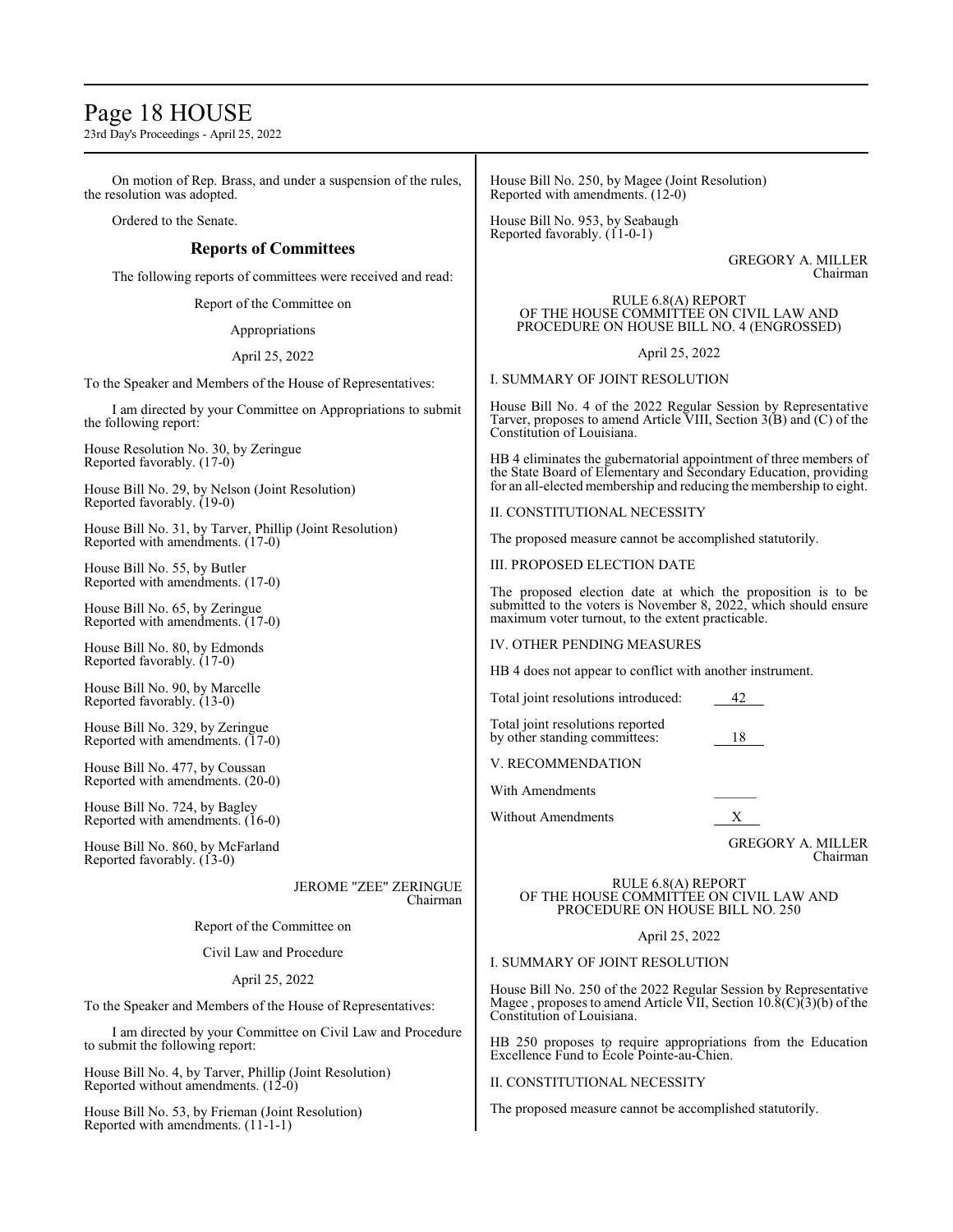# Page 18 HOUSE

23rd Day's Proceedings - April 25, 2022

On motion of Rep. Brass, and under a suspension of the rules, the resolution was adopted.

Ordered to the Senate.

# **Reports of Committees**

The following reports of committees were received and read:

Report of the Committee on

Appropriations

April 25, 2022

To the Speaker and Members of the House of Representatives:

I am directed by your Committee on Appropriations to submit the following report:

House Resolution No. 30, by Zeringue Reported favorably. (17-0)

House Bill No. 29, by Nelson (Joint Resolution) Reported favorably. (19-0)

House Bill No. 31, by Tarver, Phillip (Joint Resolution) Reported with amendments. (17-0)

House Bill No. 55, by Butler Reported with amendments. (17-0)

House Bill No. 65, by Zeringue Reported with amendments. (17-0)

House Bill No. 80, by Edmonds Reported favorably. (17-0)

House Bill No. 90, by Marcelle Reported favorably. (13-0)

House Bill No. 329, by Zeringue Reported with amendments. (17-0)

House Bill No. 477, by Coussan Reported with amendments. (20-0)

House Bill No. 724, by Bagley Reported with amendments. (16-0)

House Bill No. 860, by McFarland Reported favorably. (13-0)

> JEROME "ZEE" ZERINGUE Chairman

Report of the Committee on

Civil Law and Procedure

April 25, 2022

To the Speaker and Members of the House of Representatives:

I am directed by your Committee on Civil Law and Procedure to submit the following report:

House Bill No. 4, by Tarver, Phillip (Joint Resolution) Reported without amendments. (12-0)

House Bill No. 53, by Frieman (Joint Resolution) Reported with amendments. (11-1-1)

House Bill No. 250, by Magee (Joint Resolution) Reported with amendments. (12-0)

House Bill No. 953, by Seabaugh Reported favorably. (11-0-1)

> GREGORY A. MILLER Chairman

RULE 6.8(A) REPORT OF THE HOUSE COMMITTEE ON CIVIL LAW AND PROCEDURE ON HOUSE BILL NO. 4 (ENGROSSED)

April 25, 2022

I. SUMMARY OF JOINT RESOLUTION

House Bill No. 4 of the 2022 Regular Session by Representative Tarver, proposes to amend Article VIII, Section 3(B) and (C) of the Constitution of Louisiana.

HB 4 eliminates the gubernatorial appointment of three members of the State Board of Elementary and Secondary Education, providing for an all-elected membership and reducing the membership to eight.

II. CONSTITUTIONAL NECESSITY

The proposed measure cannot be accomplished statutorily.

III. PROPOSED ELECTION DATE

The proposed election date at which the proposition is to be submitted to the voters is November 8, 2022, which should ensure maximum voter turnout, to the extent practicable.

IV. OTHER PENDING MEASURES

HB 4 does not appear to conflict with another instrument.

Total joint resolutions introduced: 42

Total joint resolutions reported by other standing committees: 18

V. RECOMMENDATION

With Amendments

Without Amendments X

GREGORY A. MILLER Chairman

RULE 6.8(A) REPORT OF THE HOUSE COMMITTEE ON CIVIL LAW AND PROCEDURE ON HOUSE BILL NO. 250

April 25, 2022

I. SUMMARY OF JOINT RESOLUTION

House Bill No. 250 of the 2022 Regular Session by Representative Magee , proposes to amend Article  $\bar{V}II$ , Section 10.8(C)(3)(b) of the Constitution of Louisiana.

HB 250 proposes to require appropriations from the Education Excellence Fund to École Pointe-au-Chien.

# II. CONSTITUTIONAL NECESSITY

The proposed measure cannot be accomplished statutorily.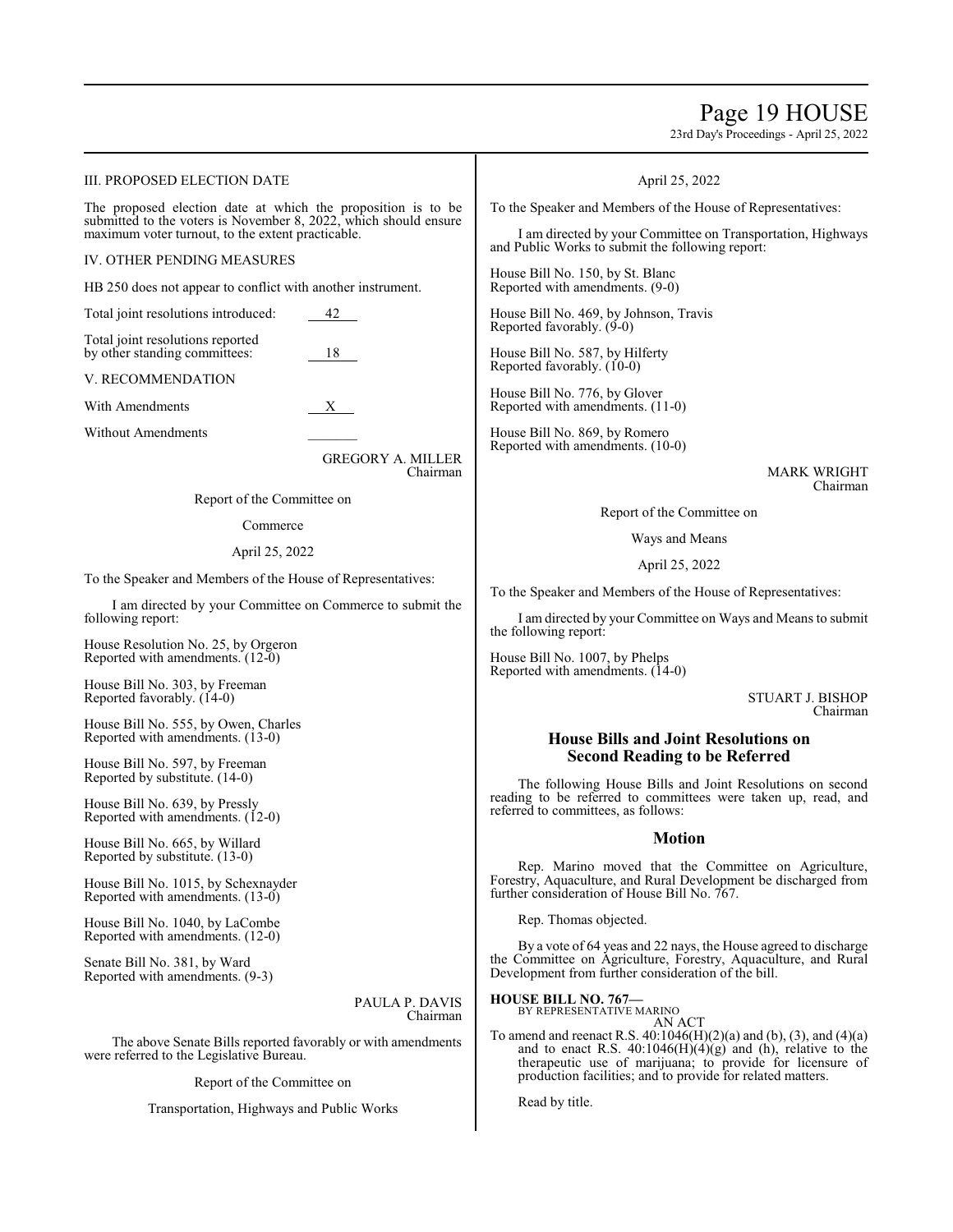# Page 19 HOUSE

23rd Day's Proceedings - April 25, 2022

# III. PROPOSED ELECTION DATE

The proposed election date at which the proposition is to be submitted to the voters is November 8, 2022, which should ensure maximum voter turnout, to the extent practicable.

#### IV. OTHER PENDING MEASURES

HB 250 does not appear to conflict with another instrument.

Total joint resolutions introduced: 42

Total joint resolutions reported by other standing committees: 18

#### V. RECOMMENDATION

With Amendments X

Without Amendments

GREGORY A. MILLER Chairman

Report of the Committee on

# Commerce

### April 25, 2022

To the Speaker and Members of the House of Representatives:

I am directed by your Committee on Commerce to submit the following report:

House Resolution No. 25, by Orgeron Reported with amendments. (12-0)

House Bill No. 303, by Freeman Reported favorably. (14-0)

House Bill No. 555, by Owen, Charles Reported with amendments. (13-0)

House Bill No. 597, by Freeman Reported by substitute. (14-0)

House Bill No. 639, by Pressly Reported with amendments.  $(12-0)$ 

House Bill No. 665, by Willard Reported by substitute. (13-0)

House Bill No. 1015, by Schexnayder Reported with amendments. (13-0)

House Bill No. 1040, by LaCombe Reported with amendments. (12-0)

Senate Bill No. 381, by Ward Reported with amendments. (9-3)

> PAULA P. DAVIS Chairman

The above Senate Bills reported favorably or with amendments were referred to the Legislative Bureau.

Report of the Committee on

Transportation, Highways and Public Works

# April 25, 2022

To the Speaker and Members of the House of Representatives:

I am directed by your Committee on Transportation, Highways and Public Works to submit the following report:

House Bill No. 150, by St. Blanc Reported with amendments. (9-0)

House Bill No. 469, by Johnson, Travis Reported favorably. (9-0)

House Bill No. 587, by Hilferty Reported favorably. (10-0)

House Bill No. 776, by Glover Reported with amendments. (11-0)

House Bill No. 869, by Romero Reported with amendments. (10-0)

> MARK WRIGHT Chairman

Report of the Committee on

Ways and Means

April 25, 2022

To the Speaker and Members of the House of Representatives:

I am directed by your Committee on Ways and Means to submit the following report:

House Bill No. 1007, by Phelps Reported with amendments. (14-0)

> STUART J. BISHOP Chairman

# **House Bills and Joint Resolutions on Second Reading to be Referred**

The following House Bills and Joint Resolutions on second reading to be referred to committees were taken up, read, and referred to committees, as follows:

# **Motion**

Rep. Marino moved that the Committee on Agriculture, Forestry, Aquaculture, and Rural Development be discharged from further consideration of House Bill No. 767.

Rep. Thomas objected.

By a vote of 64 yeas and 22 nays, the House agreed to discharge the Committee on Agriculture, Forestry, Aquaculture, and Rural Development from further consideration of the bill.

**HOUSE BILL NO. 767—**

BY REPRESENTATIVE MARINO AN ACT

To amend and reenact R.S. 40:1046(H)(2)(a) and (b), (3), and (4)(a) and to enact R.S.  $40:1046(H)(4)(g)$  and (h), relative to the therapeutic use of marijuana; to provide for licensure of production facilities; and to provide for related matters.

Read by title.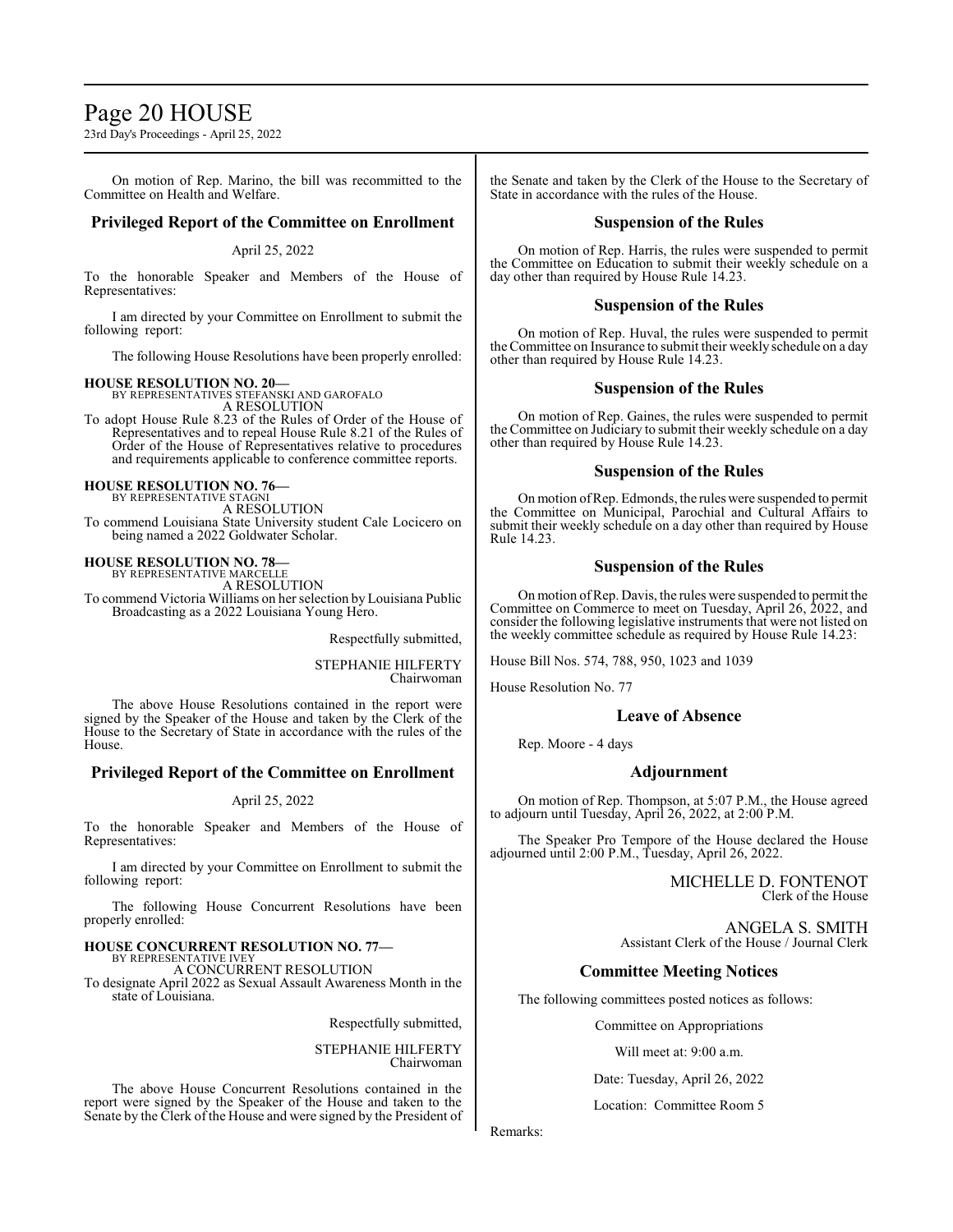# Page 20 HOUSE

23rd Day's Proceedings - April 25, 2022

On motion of Rep. Marino, the bill was recommitted to the Committee on Health and Welfare.

# **Privileged Report of the Committee on Enrollment**

# April 25, 2022

To the honorable Speaker and Members of the House of Representatives:

I am directed by your Committee on Enrollment to submit the following report:

The following House Resolutions have been properly enrolled:

# **HOUSE RESOLUTION NO. 20—** BY REPRESENTATIVES STEFANSKI AND GAROFALO

A RESOLUTION

To adopt House Rule 8.23 of the Rules of Order of the House of Representatives and to repeal House Rule 8.21 of the Rules of Order of the House of Representatives relative to procedures and requirements applicable to conference committee reports.

**HOUSE RESOLUTION NO. 76—** BY REPRESENTATIVE STAGNI

A RESOLUTION

To commend Louisiana State University student Cale Locicero on being named a 2022 Goldwater Scholar.

**HOUSE RESOLUTION NO. 78—**

BY REPRESENTATIVE MARCELLE A RESOLUTION

To commend Victoria Williams on her selection by Louisiana Public Broadcasting as a 2022 Louisiana Young Hero.

Respectfully submitted,

STEPHANIE HILFERTY Chairwoman

The above House Resolutions contained in the report were signed by the Speaker of the House and taken by the Clerk of the House to the Secretary of State in accordance with the rules of the House.

# **Privileged Report of the Committee on Enrollment**

# April 25, 2022

To the honorable Speaker and Members of the House of Representatives:

I am directed by your Committee on Enrollment to submit the following report:

The following House Concurrent Resolutions have been properly enrolled:

# **HOUSE CONCURRENT RESOLUTION NO. 77—** BY REPRESENTATIVE IVEY

A CONCURRENT RESOLUTION

To designate April 2022 as Sexual Assault Awareness Month in the state of Louisiana.

Respectfully submitted,

STEPHANIE HILFERTY Chairwoman

The above House Concurrent Resolutions contained in the report were signed by the Speaker of the House and taken to the Senate by the Clerk of the House and were signed by the President of

the Senate and taken by the Clerk of the House to the Secretary of State in accordance with the rules of the House.

# **Suspension of the Rules**

On motion of Rep. Harris, the rules were suspended to permit the Committee on Education to submit their weekly schedule on a day other than required by House Rule 14.23.

# **Suspension of the Rules**

On motion of Rep. Huval, the rules were suspended to permit the Committee on Insurance to submit their weekly schedule on a day other than required by House Rule 14.23.

# **Suspension of the Rules**

On motion of Rep. Gaines, the rules were suspended to permit the Committee on Judiciary to submit their weekly schedule on a day other than required by House Rule 14.23.

# **Suspension of the Rules**

On motion ofRep. Edmonds, the rules were suspended to permit the Committee on Municipal, Parochial and Cultural Affairs to submit their weekly schedule on a day other than required by House Rule 14.23.

# **Suspension of the Rules**

On motion ofRep. Davis, the rules were suspended to permit the Committee on Commerce to meet on Tuesday, April 26, 2022, and consider the following legislative instruments that were not listed on the weekly committee schedule as required by House Rule 14.23:

House Bill Nos. 574, 788, 950, 1023 and 1039

House Resolution No. 77

# **Leave of Absence**

Rep. Moore - 4 days

# **Adjournment**

On motion of Rep. Thompson, at 5:07 P.M., the House agreed to adjourn until Tuesday, April 26, 2022, at 2:00 P.M.

The Speaker Pro Tempore of the House declared the House adjourned until 2:00 P.M., Tuesday, April 26, 2022.

> MICHELLE D. FONTENOT Clerk of the House

ANGELA S. SMITH Assistant Clerk of the House / Journal Clerk

# **Committee Meeting Notices**

The following committees posted notices as follows:

Committee on Appropriations

Will meet at: 9:00 a.m.

Date: Tuesday, April 26, 2022

Location: Committee Room 5

Remarks: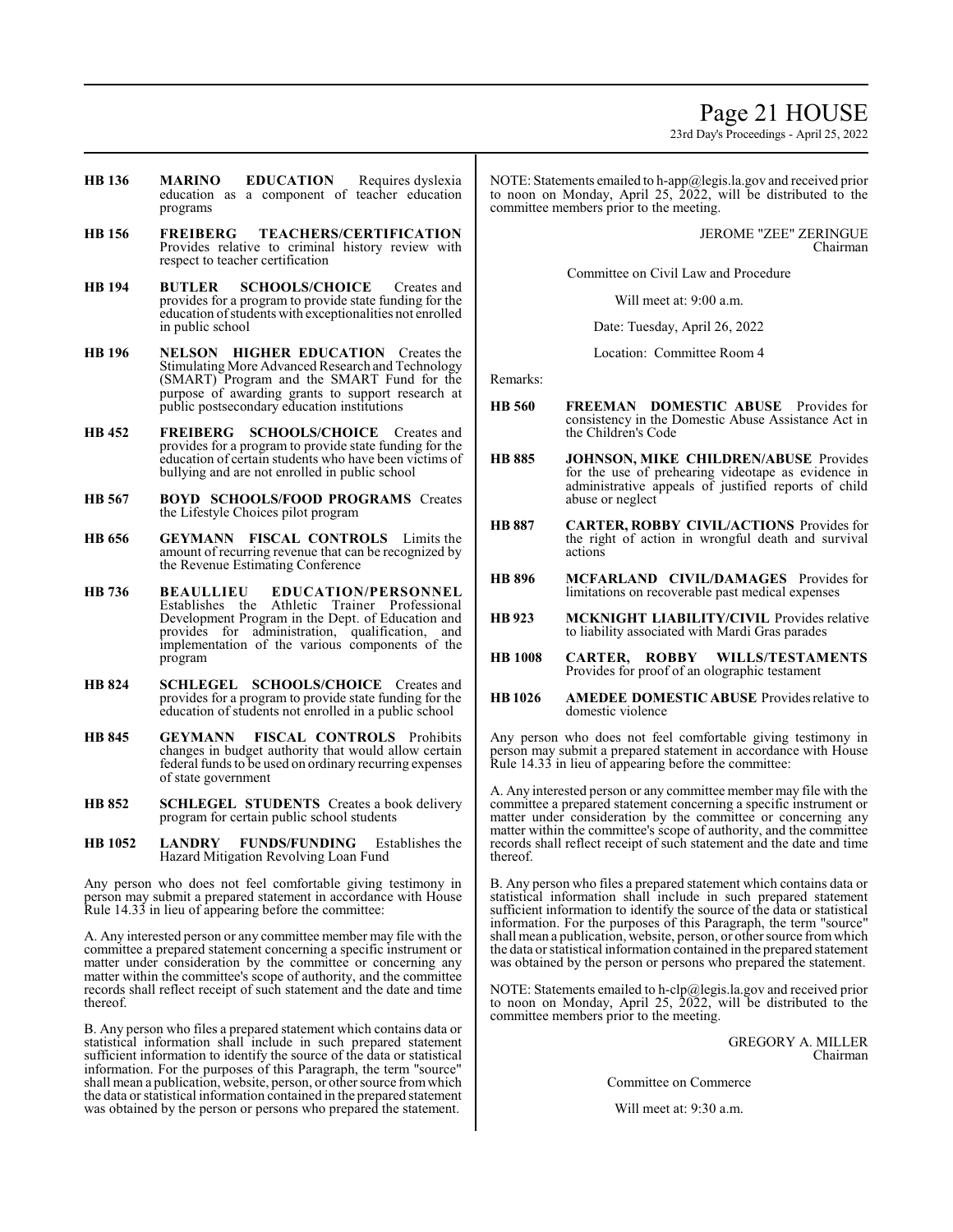23rd Day's Proceedings - April 25, 2022

- **HB 136 MARINO EDUCATION** Requires dyslexia education as a component of teacher education programs
- **HB 156 FREIBERG TEACHERS/CERTIFICATION**  Provides relative to criminal history review with respect to teacher certification
- **HB 194 BUTLER SCHOOLS/CHOICE** Creates and provides for a program to provide state funding for the education ofstudents with exceptionalities not enrolled in public school
- **HB 196 NELSON HIGHER EDUCATION** Creates the Stimulating More Advanced Research and Technology (SMART) Program and the SMART Fund for the purpose of awarding grants to support research at public postsecondary education institutions
- **HB 452 FREIBERG SCHOOLS/CHOICE** Creates and provides for a program to provide state funding for the education of certain students who have been victims of bullying and are not enrolled in public school
- **HB 567 BOYD SCHOOLS/FOOD PROGRAMS** Creates the Lifestyle Choices pilot program
- **HB 656 GEYMANN FISCAL CONTROLS** Limits the amount of recurring revenue that can be recognized by the Revenue Estimating Conference
- **HB 736 BEAULLIEU EDUCATION/PERSONNEL**  Establishes the Athletic Trainer Professional Development Program in the Dept. of Education and provides for administration, qualification, and implementation of the various components of the program
- **HB 824 SCHLEGEL SCHOOLS/CHOICE** Creates and provides for a program to provide state funding for the education of students not enrolled in a public school
- **HB 845 GEYMANN FISCAL CONTROLS** Prohibits changes in budget authority that would allow certain federal funds to be used on ordinary recurring expenses of state government
- **HB 852 SCHLEGEL STUDENTS** Creates a book delivery program for certain public school students
- **HB 1052 LANDRY FUNDS/FUNDING** Establishes the Hazard Mitigation Revolving Loan Fund

Any person who does not feel comfortable giving testimony in person may submit a prepared statement in accordance with House Rule 14.33 in lieu of appearing before the committee:

A. Any interested person or any committee member may file with the committee a prepared statement concerning a specific instrument or matter under consideration by the committee or concerning any matter within the committee's scope of authority, and the committee records shall reflect receipt of such statement and the date and time thereof.

B. Any person who files a prepared statement which contains data or statistical information shall include in such prepared statement sufficient information to identify the source of the data or statistical information. For the purposes of this Paragraph, the term "source" shall mean a publication, website, person, or other source fromwhich the data or statistical information contained in the prepared statement was obtained by the person or persons who prepared the statement.

NOTE: Statements emailed to h-app@legis.la.gov and received prior to noon on Monday, April 25, 2022, will be distributed to the committee members prior to the meeting.

> JEROME "ZEE" ZERINGUE Chairman

Committee on Civil Law and Procedure

Will meet at: 9:00 a.m.

Date: Tuesday, April 26, 2022

Location: Committee Room 4

Remarks:

- **HB 560 FREEMAN DOMESTIC ABUSE** Provides for consistency in the Domestic Abuse Assistance Act in the Children's Code
- **HB 885 JOHNSON, MIKE CHILDREN/ABUSE** Provides for the use of prehearing videotape as evidence in administrative appeals of justified reports of child abuse or neglect
- **HB 887 CARTER, ROBBY CIVIL/ACTIONS** Provides for the right of action in wrongful death and survival actions
- **HB 896 MCFARLAND CIVIL/DAMAGES** Provides for limitations on recoverable past medical expenses
- **HB 923 MCKNIGHT LIABILITY/CIVIL** Provides relative to liability associated with Mardi Gras parades
- **HB 1008 CARTER, ROBBY WILLS/TESTAMENTS**  Provides for proof of an olographic testament
- **HB 1026 AMEDEE DOMESTIC ABUSE** Provides relative to domestic violence

Any person who does not feel comfortable giving testimony in person may submit a prepared statement in accordance with House Rule 14.33 in lieu of appearing before the committee:

A. Any interested person or any committee member may file with the committee a prepared statement concerning a specific instrument or matter under consideration by the committee or concerning any matter within the committee's scope of authority, and the committee records shall reflect receipt of such statement and the date and time thereof.

B. Any person who files a prepared statement which contains data or statistical information shall include in such prepared statement sufficient information to identify the source of the data or statistical information. For the purposes of this Paragraph, the term "source" shall mean a publication, website, person, or other source fromwhich the data or statistical information contained in the prepared statement was obtained by the person or persons who prepared the statement.

NOTE: Statements emailed to h-clp@legis.la.gov and received prior to noon on Monday, April 25, 2022, will be distributed to the committee members prior to the meeting.

> GREGORY A. MILLER Chairman

Committee on Commerce

Will meet at: 9:30 a.m.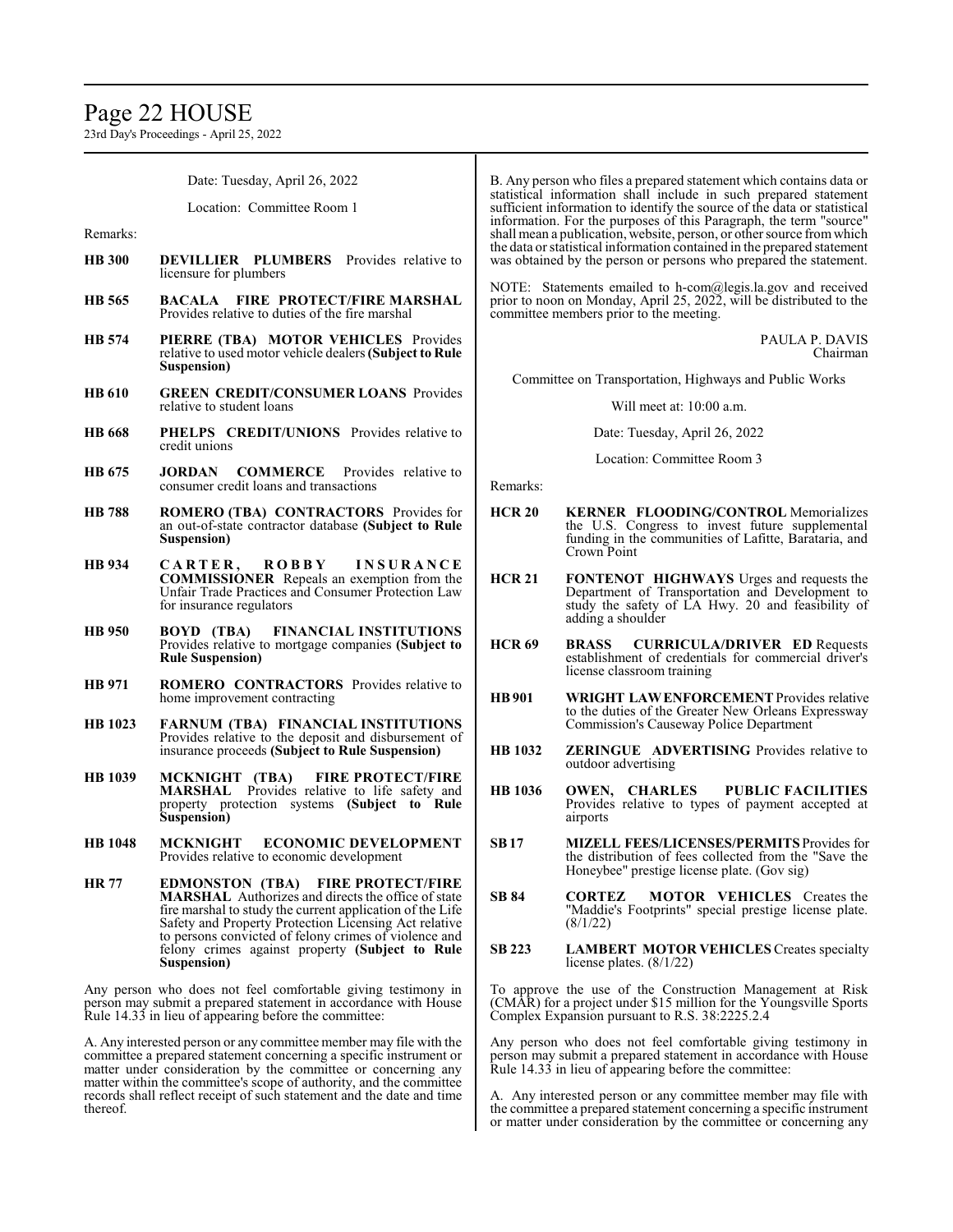# Page 22 HOUSE

23rd Day's Proceedings - April 25, 2022

Date: Tuesday, April 26, 2022 Location: Committee Room 1 Remarks: **HB 300 DEVILLIER PLUMBERS** Provides relative to licensure for plumbers **HB 565 BACALA FIRE PROTECT/FIRE MARSHAL**  Provides relative to duties of the fire marshal **HB 574 PIERRE (TBA) MOTOR VEHICLES** Provides relative to used motor vehicle dealers**(Subject to Rule Suspension) HB 610 GREEN CREDIT/CONSUMER LOANS** Provides relative to student loans **HB 668 PHELPS CREDIT/UNIONS** Provides relative to credit unions **HB 675 JORDAN COMMERCE** Provides relative to consumer credit loans and transactions **HB 788 ROMERO (TBA) CONTRACTORS** Provides for an out-of-state contractor database **(Subject to Rule Suspension) HB 934 C A R T E R , R O B B Y I N S U R A N C E COMMISSIONER** Repeals an exemption from the Unfair Trade Practices and Consumer Protection Law for insurance regulators **HB 950 BOYD (TBA) FINANCIAL INSTITUTIONS**  Provides relative to mortgage companies **(Subject to Rule Suspension) HB 971 ROMERO CONTRACTORS** Provides relative to home improvement contracting **HB 1023 FARNUM (TBA) FINANCIAL INSTITUTIONS** Provides relative to the deposit and disbursement of insurance proceeds **(Subject to Rule Suspension) HB 1039 MCKNIGHT (TBA) FIRE PROTECT/FIRE MARSHAL** Provides relative to life safety and property protection systems **(Subject to Rule Suspension) HB 1048 MCKNIGHT ECONOMIC DEVELOPMENT**  Provides relative to economic development **HR 77 EDMONSTON (TBA) FIRE PROTECT/FIRE MARSHAL** Authorizes and directs the office of state fire marshal to study the current application of the Life Safety and Property Protection Licensing Act relative to persons convicted of felony crimes of violence and felony crimes against property **(Subject to Rule Suspension)** Any person who does not feel comfortable giving testimony in person may submit a prepared statement in accordance with House Rule 14.33 in lieu of appearing before the committee: A. Any interested person or any committee member may file with the committee a prepared statement concerning a specific instrument or matter under consideration by the committee or concerning any matter within the committee's scope of authority, and the committee records shall reflect receipt of such statement and the date and time thereof. B. Any person who files a prepared statement which contains data or statistical information shall include in such prepared statement sufficient information to identify the source of the data or statistical information. For the purposes of this Paragraph, the term "source" shall mean a publication, website, person, or other source fromwhich the data or statistical information contained in the prepared statement was obtained by the person or persons who prepared the statement. NOTE: Statements emailed to h-com@legis.la.gov and received prior to noon on Monday, April 25, 2022, will be distributed to the committee members prior to the meeting. PAULA P. DAVIS Chairman Committee on Transportation, Highways and Public Works Will meet at: 10:00 a.m. Date: Tuesday, April 26, 2022 Location: Committee Room 3 Remarks: **HCR 20 KERNER FLOODING/CONTROL** Memorializes the U.S. Congress to invest future supplemental funding in the communities of Lafitte, Barataria, and Crown Point **HCR 21 FONTENOT HIGHWAYS** Urges and requests the Department of Transportation and Development to study the safety of LA Hwy. 20 and feasibility of adding a shoulder **HCR 69 BRASS CURRICULA/DRIVER ED** Requests establishment of credentials for commercial driver's license classroom training **HB901 WRIGHT LAWENFORCEMENT** Provides relative to the duties of the Greater New Orleans Expressway Commission's Causeway Police Department **HB 1032 ZERINGUE ADVERTISING** Provides relative to outdoor advertising **HB 1036 OWEN, CHARLES PUBLIC FACILITIES** Provides relative to types of payment accepted at airports **SB17 MIZELL FEES/LICENSES/PERMITS** Provides for the distribution of fees collected from the "Save the Honeybee" prestige license plate. (Gov sig) **SB 84 CORTEZ MOTOR VEHICLES** Creates the "Maddie's Footprints" special prestige license plate. (8/1/22) **SB 223 LAMBERT MOTOR VEHICLES** Creates specialty license plates. (8/1/22) To approve the use of the Construction Management at Risk (CMAR) for a project under \$15 million for the Youngsville Sports Complex Expansion pursuant to R.S. 38:2225.2.4 Any person who does not feel comfortable giving testimony in person may submit a prepared statement in accordance with House Rule 14.33 in lieu of appearing before the committee: A. Any interested person or any committee member may file with the committee a prepared statement concerning a specific instrument or matter under consideration by the committee or concerning any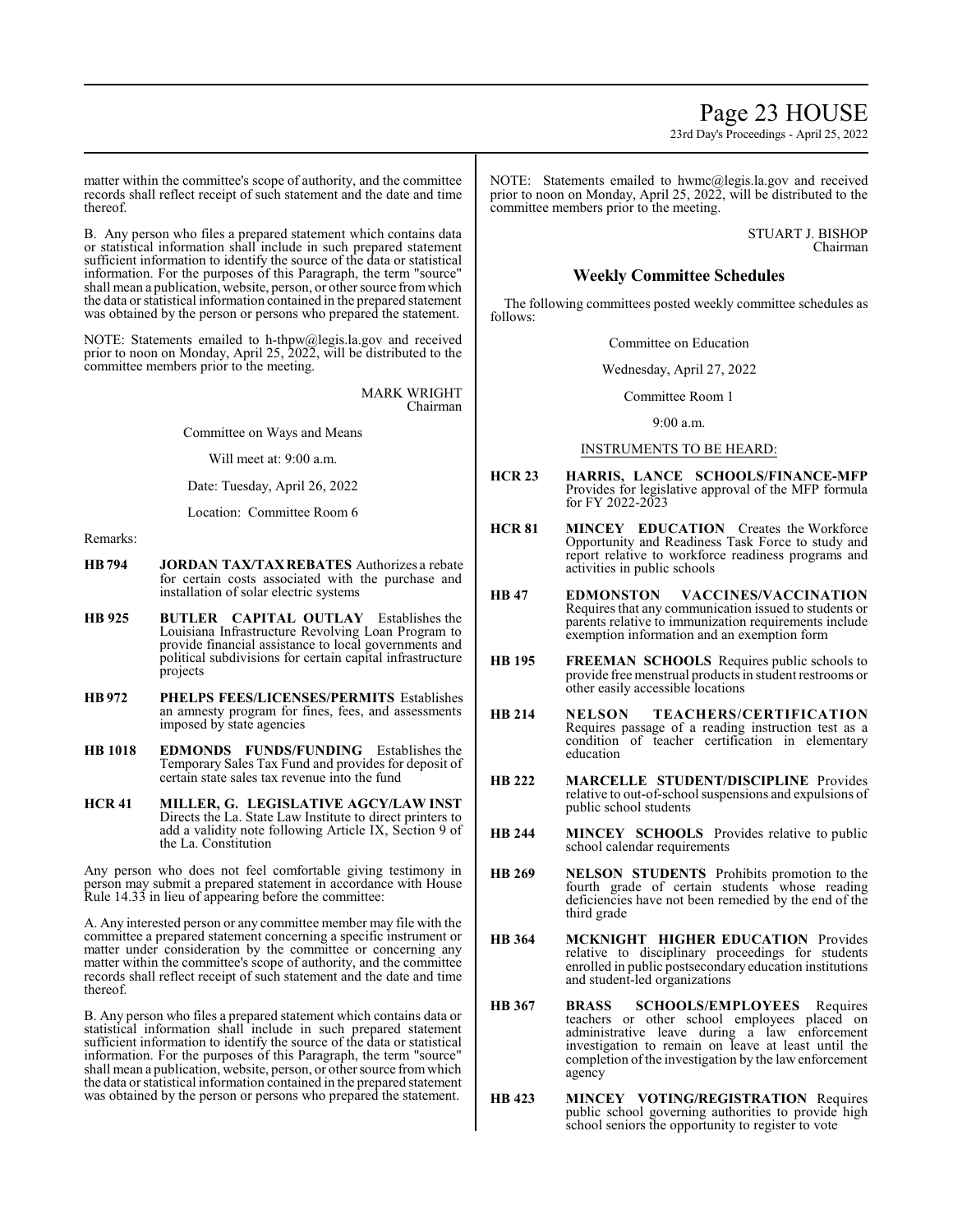23rd Day's Proceedings - April 25, 2022

matter within the committee's scope of authority, and the committee records shall reflect receipt of such statement and the date and time thereof.

B. Any person who files a prepared statement which contains data or statistical information shall include in such prepared statement sufficient information to identify the source of the data or statistical information. For the purposes of this Paragraph, the term "source" shall mean a publication, website, person, or other source fromwhich the data or statistical information contained in the prepared statement was obtained by the person or persons who prepared the statement.

NOTE: Statements emailed to h-thpw@legis.la.gov and received prior to noon on Monday, April 25, 2022, will be distributed to the committee members prior to the meeting.

> MARK WRIGHT Chairman

Committee on Ways and Means

Will meet at: 9:00 a.m.

Date: Tuesday, April 26, 2022

Location: Committee Room 6

# Remarks:

- **HB794 JORDAN TAX/TAXREBATES** Authorizes a rebate for certain costs associated with the purchase and installation of solar electric systems
- **HB 925 BUTLER CAPITAL OUTLAY** Establishes the Louisiana Infrastructure Revolving Loan Program to provide financial assistance to local governments and political subdivisions for certain capital infrastructure projects
- **HB 972 PHELPS FEES/LICENSES/PERMITS** Establishes an amnesty program for fines, fees, and assessments imposed by state agencies
- **HB 1018 EDMONDS FUNDS/FUNDING** Establishes the Temporary Sales Tax Fund and provides for deposit of certain state sales tax revenue into the fund
- **HCR 41 MILLER, G. LEGISLATIVE AGCY/LAW INST**  Directs the La. State Law Institute to direct printers to add a validity note following Article IX, Section 9 of the La. Constitution

Any person who does not feel comfortable giving testimony in person may submit a prepared statement in accordance with House Rule 14.33 in lieu of appearing before the committee:

A. Any interested person or any committee member may file with the committee a prepared statement concerning a specific instrument or matter under consideration by the committee or concerning any matter within the committee's scope of authority, and the committee records shall reflect receipt of such statement and the date and time thereof.

B. Any person who files a prepared statement which contains data or statistical information shall include in such prepared statement sufficient information to identify the source of the data or statistical information. For the purposes of this Paragraph, the term "source" shall mean a publication, website, person, or other source from which the data or statistical information contained in the prepared statement was obtained by the person or persons who prepared the statement.

NOTE: Statements emailed to hwmc@legis.la.gov and received prior to noon on Monday, April 25, 2022, will be distributed to the committee members prior to the meeting.

> STUART J. BISHOP Chairman

# **Weekly Committee Schedules**

The following committees posted weekly committee schedules as follows:

Committee on Education

Wednesday, April 27, 2022

Committee Room 1

9:00 a.m.

# INSTRUMENTS TO BE HEARD:

- **HCR 23 HARRIS, LANCE SCHOOLS/FINANCE-MFP** Provides for legislative approval of the MFP formula for FY 2022-2023
- **HCR 81 MINCEY EDUCATION** Creates the Workforce Opportunity and Readiness Task Force to study and report relative to workforce readiness programs and activities in public schools
- **HB 47 EDMONSTON VACCINES/VACCINATION** Requires that any communication issued to students or parents relative to immunization requirements include exemption information and an exemption form
- **HB 195 FREEMAN SCHOOLS** Requires public schools to provide free menstrual products in student restrooms or other easily accessible locations
- **HB 214 NELSON TEACHERS/CERTIFICATION** Requires passage of a reading instruction test as a condition of teacher certification in elementary education
- **HB 222 MARCELLE STUDENT/DISCIPLINE** Provides relative to out-of-school suspensions and expulsions of public school students
- **HB 244 MINCEY SCHOOLS** Provides relative to public school calendar requirements
- **HB 269 NELSON STUDENTS** Prohibits promotion to the fourth grade of certain students whose reading deficiencies have not been remedied by the end of the third grade
- **HB 364 MCKNIGHT HIGHER EDUCATION** Provides relative to disciplinary proceedings for students enrolled in public postsecondary education institutions and student-led organizations
- **HB 367 BRASS SCHOOLS/EMPLOYEES** Requires teachers or other school employees placed on administrative leave during a law enforcement investigation to remain on leave at least until the completion ofthe investigation by the law enforcement agency
- **HB 423 MINCEY VOTING/REGISTRATION** Requires public school governing authorities to provide high school seniors the opportunity to register to vote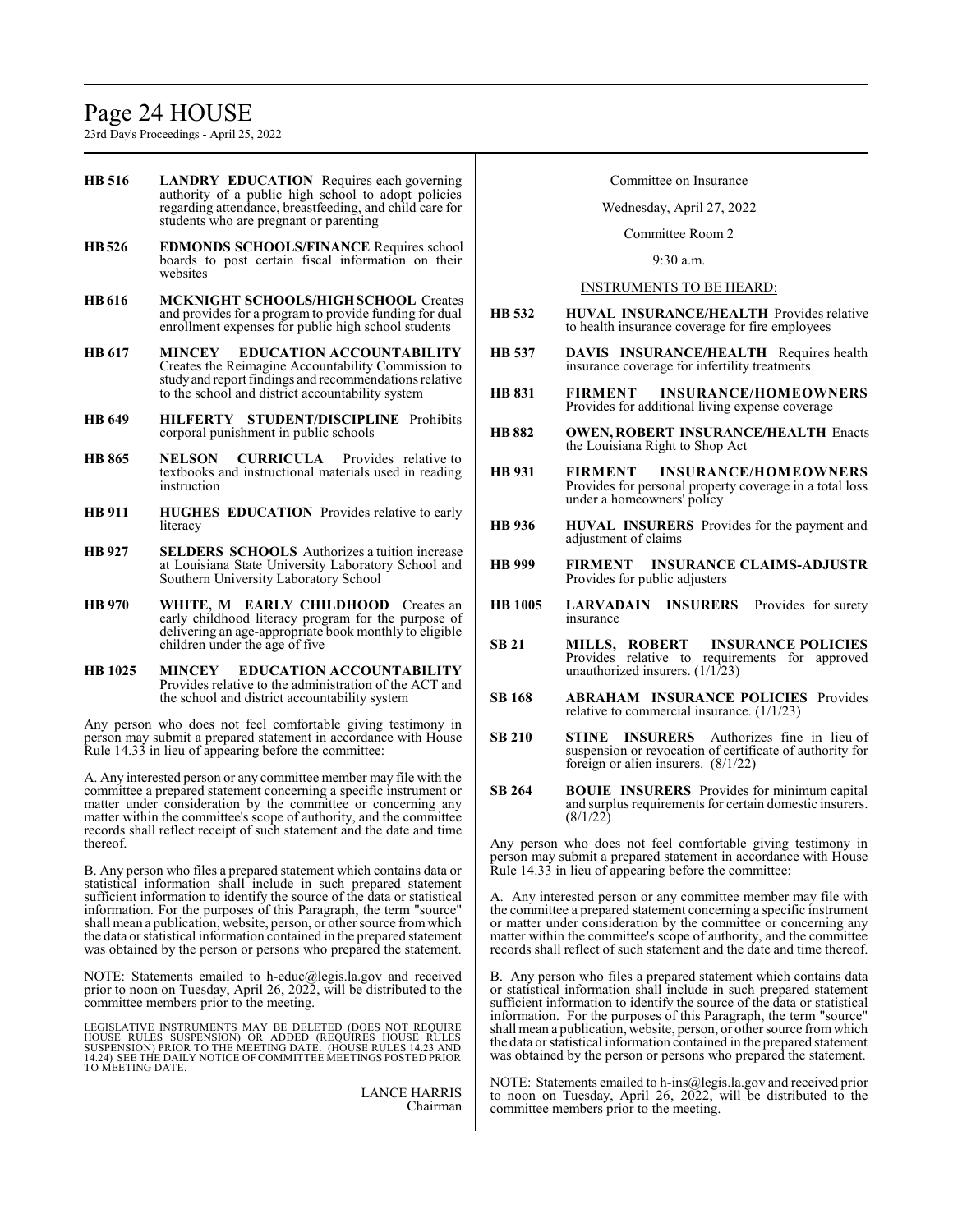# Page 24 HOUSE

23rd Day's Proceedings - April 25, 2022

- **HB 516 LANDRY EDUCATION** Requires each governing authority of a public high school to adopt policies regarding attendance, breastfeeding, and child care for students who are pregnant or parenting
- **HB526 EDMONDS SCHOOLS/FINANCE** Requires school boards to post certain fiscal information on their websites
- **HB 616 MCKNIGHT SCHOOLS/HIGH SCHOOL** Creates and provides for a program to provide funding for dual enrollment expenses for public high school students
- **HB 617 MINCEY EDUCATION ACCOUNTABILITY** Creates the Reimagine Accountability Commission to studyand report findings and recommendations relative to the school and district accountability system
- **HB 649 HILFERTY STUDENT/DISCIPLINE** Prohibits corporal punishment in public schools
- **HB 865 NELSON CURRICULA** Provides relative to textbooks and instructional materials used in reading instruction
- **HB 911 HUGHES EDUCATION** Provides relative to early literacy
- **HB 927 SELDERS SCHOOLS** Authorizes a tuition increase at Louisiana State University Laboratory School and Southern University Laboratory School
- **HB 970 WHITE, M EARLY CHILDHOOD** Creates an early childhood literacy program for the purpose of delivering an age-appropriate book monthly to eligible children under the age of five
- **HB 1025 MINCEY EDUCATION ACCOUNTABILITY** Provides relative to the administration of the ACT and the school and district accountability system

Any person who does not feel comfortable giving testimony in person may submit a prepared statement in accordance with House Rule 14.33 in lieu of appearing before the committee:

A. Any interested person or any committee member may file with the committee a prepared statement concerning a specific instrument or matter under consideration by the committee or concerning any matter within the committee's scope of authority, and the committee records shall reflect receipt of such statement and the date and time thereof.

B. Any person who files a prepared statement which contains data or statistical information shall include in such prepared statement sufficient information to identify the source of the data or statistical information. For the purposes of this Paragraph, the term "source" shall mean a publication, website, person, or other source fromwhich the data or statistical information contained in the prepared statement was obtained by the person or persons who prepared the statement.

NOTE: Statements emailed to h-educ@legis.la.gov and received prior to noon on Tuesday, April 26, 2022, will be distributed to the committee members prior to the meeting.

LEGISLATIVE INSTRUMENTS MAY BE DELETED (DOES NOT REQUIRE<br>HOUSE RULES SUSPENSION) OR ADDED (REQUIRES HOUSE RULES<br>SUSPENSION) PRIOR TO THE MEETING DATE. (HOUSE RULES 14.23 AND 14.24) SEE THE DAILY NOTICE OF COMMITTEE MEETINGS POSTED PRIOR TO MEETING DATE.

> LANCE HARRIS Chairman

# Committee on Insurance

#### Wednesday, April 27, 2022

Committee Room 2

9:30 a.m.

#### INSTRUMENTS TO BE HEARD:

- **HB 532 HUVAL INSURANCE/HEALTH** Provides relative to health insurance coverage for fire employees
- **HB 537 DAVIS INSURANCE/HEALTH** Requires health insurance coverage for infertility treatments
- **HB 831 FIRMENT INSURANCE/HOMEOWNERS** Provides for additional living expense coverage
- **HB 882 OWEN, ROBERT INSURANCE/HEALTH** Enacts the Louisiana Right to Shop Act
- **HB 931 FIRMENT INSURANCE/HOMEOWNERS** Provides for personal property coverage in a total loss under a homeowners' policy
- **HB 936 HUVAL INSURERS** Provides for the payment and adjustment of claims
- **HB 999 FIRMENT INSURANCE CLAIMS-ADJUSTR** Provides for public adjusters
- **HB 1005 LARVADAIN INSURERS** Provides for surety insurance
- **SB 21 MILLS, ROBERT INSURANCE POLICIES** Provides relative to requirements for approved unauthorized insurers. (1/1/23)
- **SB 168 ABRAHAM INSURANCE POLICIES** Provides relative to commercial insurance. (1/1/23)
- **SB 210 STINE INSURERS** Authorizes fine in lieu of suspension or revocation of certificate of authority for foreign or alien insurers. (8/1/22)
- **SB 264 BOUIE INSURERS** Provides for minimum capital and surplus requirements for certain domestic insurers.  $(8/1/22)$

Any person who does not feel comfortable giving testimony in person may submit a prepared statement in accordance with House Rule 14.33 in lieu of appearing before the committee:

A. Any interested person or any committee member may file with the committee a prepared statement concerning a specific instrument or matter under consideration by the committee or concerning any matter within the committee's scope of authority, and the committee records shall reflect of such statement and the date and time thereof.

B. Any person who files a prepared statement which contains data or statistical information shall include in such prepared statement sufficient information to identify the source of the data or statistical information. For the purposes of this Paragraph, the term "source" shall mean a publication, website, person, or other source fromwhich the data or statistical information contained in the prepared statement was obtained by the person or persons who prepared the statement.

NOTE: Statements emailed to h-ins@legis.la.gov and received prior to noon on Tuesday, April 26, 2022, will be distributed to the committee members prior to the meeting.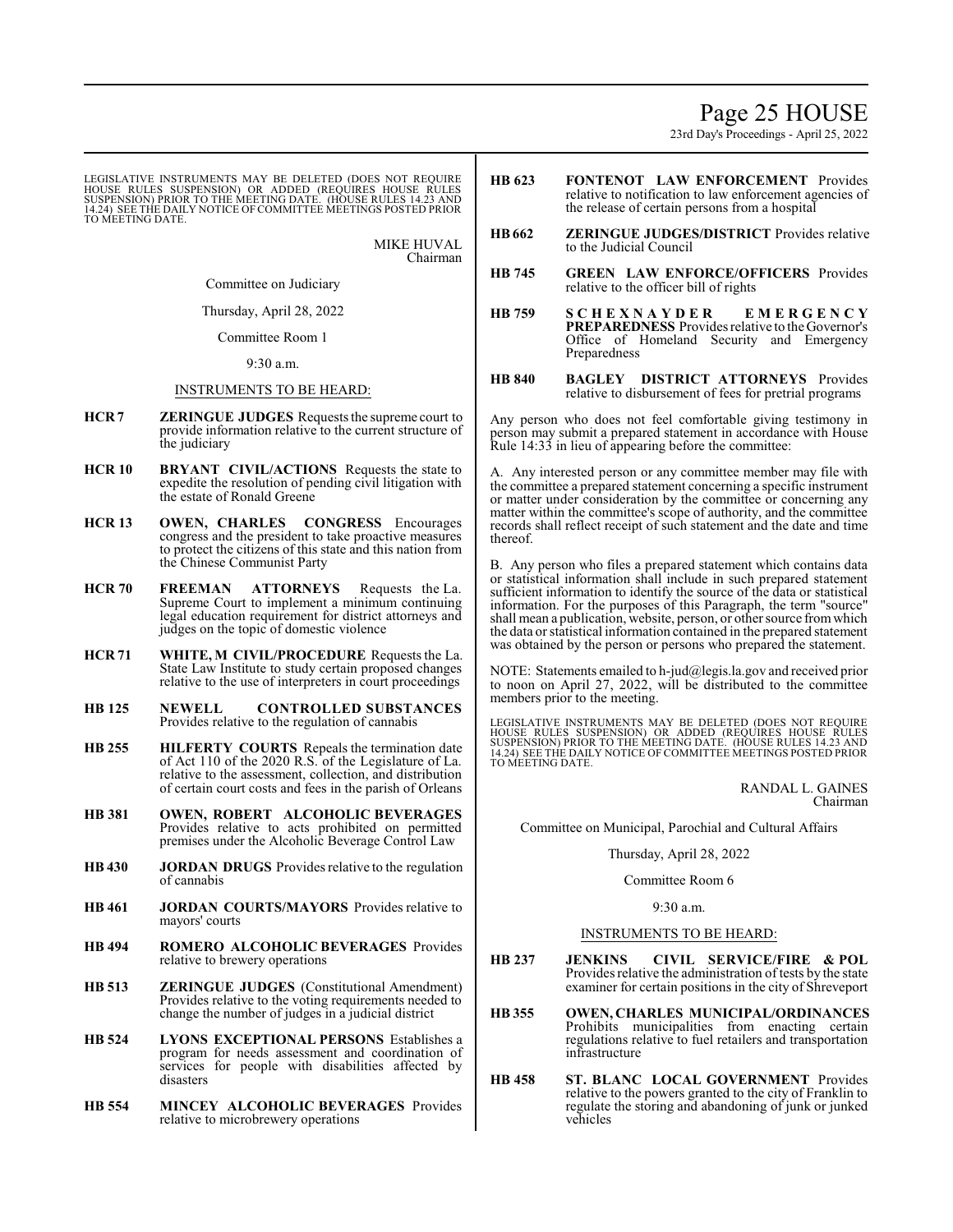# Page 25 HOUSE

23rd Day's Proceedings - April 25, 2022

LEGISLATIVE INSTRUMENTS MAY BE DELETED (DOES NOT REQUIRE<br>HOUSE RULES SUSPENSION) OR ADDED (REQUIRES HOUSE RULES<br>SUSPENSION) PRIOR TO THE MEETING DATE. (HOUSE RULES 14.23 AND<br>14.24) SEE THE DAILY NOTICE OF COMMITTEE MEETING

MIKE HUVAL Chairman

Committee on Judiciary

Thursday, April 28, 2022

Committee Room 1

9:30 a.m.

## INSTRUMENTS TO BE HEARD:

- **HCR 7 ZERINGUE JUDGES** Requests the supreme court to provide information relative to the current structure of the judiciary
- **HCR 10 BRYANT CIVIL/ACTIONS** Requests the state to expedite the resolution of pending civil litigation with the estate of Ronald Greene
- **HCR 13 OWEN, CHARLES CONGRESS** Encourages congress and the president to take proactive measures to protect the citizens of this state and this nation from the Chinese Communist Party
- **HCR 70 FREEMAN ATTORNEYS** Requests the La. Supreme Court to implement a minimum continuing legal education requirement for district attorneys and judges on the topic of domestic violence
- **HCR 71 WHITE, M CIVIL/PROCEDURE** Requests the La. State Law Institute to study certain proposed changes relative to the use of interpreters in court proceedings
- **HB 125 NEWELL CONTROLLED SUBSTANCES** Provides relative to the regulation of cannabis
- **HB 255 HILFERTY COURTS** Repeals the termination date of Act 110 of the 2020 R.S. of the Legislature of La. relative to the assessment, collection, and distribution of certain court costs and fees in the parish of Orleans
- **HB 381 OWEN, ROBERT ALCOHOLIC BEVERAGES** Provides relative to acts prohibited on permitted premises under the Alcoholic Beverage Control Law
- **HB 430 JORDAN DRUGS** Provides relative to the regulation of cannabis
- **HB 461 JORDAN COURTS/MAYORS** Provides relative to mayors' courts
- **HB 494 ROMERO ALCOHOLIC BEVERAGES** Provides relative to brewery operations
- **HB 513 ZERINGUE JUDGES** (Constitutional Amendment) Provides relative to the voting requirements needed to change the number of judges in a judicial district
- **HB 524 LYONS EXCEPTIONAL PERSONS** Establishes a program for needs assessment and coordination of services for people with disabilities affected by disasters
- **HB 554 MINCEY ALCOHOLIC BEVERAGES** Provides relative to microbrewery operations
- **HB 623 FONTENOT LAW ENFORCEMENT** Provides relative to notification to law enforcement agencies of the release of certain persons from a hospital
- **HB662 ZERINGUE JUDGES/DISTRICT** Provides relative to the Judicial Council
- **HB 745 GREEN LAW ENFORCE/OFFICERS** Provides relative to the officer bill of rights
- **HB 759 S C H E X N A Y D E R E M E R G E N C Y PREPAREDNESS** Provides relative to the Governor's Office of Homeland Security and Emergency Preparedness
- **HB 840 BAGLEY DISTRICT ATTORNEYS** Provides relative to disbursement of fees for pretrial programs

Any person who does not feel comfortable giving testimony in person may submit a prepared statement in accordance with House Rule 14:33 in lieu of appearing before the committee:

A. Any interested person or any committee member may file with the committee a prepared statement concerning a specific instrument or matter under consideration by the committee or concerning any matter within the committee's scope of authority, and the committee records shall reflect receipt of such statement and the date and time thereof.

B. Any person who files a prepared statement which contains data or statistical information shall include in such prepared statement sufficient information to identify the source of the data or statistical information. For the purposes of this Paragraph, the term "source" shall mean a publication, website, person, or other source fromwhich the data or statistical information contained in the prepared statement was obtained by the person or persons who prepared the statement.

NOTE: Statements emailed to h-jud@legis.la.gov and received prior to noon on April 27, 2022, will be distributed to the committee members prior to the meeting.

LEGISLATIVE INSTRUMENTS MAY BE DELETED (DOES NOT REQUIRE<br>HOUSE RULES SUSPENSION) OR ADDED (REQUIRES HOUSE RULES<br>SUSPENSION) PRIOR TO THE MEETING DATE. (HOUSE RULES 14.23 AND<br>14.24) SEE THE DAILY NOTICE OF COMMITTEE MEETING TO MEETING DATE.

> RANDAL L. GAINES Chairman

Committee on Municipal, Parochial and Cultural Affairs

Thursday, April 28, 2022

Committee Room 6

9:30 a.m.

# INSTRUMENTS TO BE HEARD:

- **HB 237 JENKINS CIVIL SERVICE/FIRE & POL** Provides relative the administration of tests by the state examiner for certain positions in the city of Shreveport
- **HB 355 OWEN, CHARLES MUNICIPAL/ORDINANCES** Prohibits municipalities from enacting certain regulations relative to fuel retailers and transportation infrastructure
- **HB 458 ST. BLANC LOCAL GOVERNMENT** Provides relative to the powers granted to the city of Franklin to regulate the storing and abandoning of junk or junked vehicles